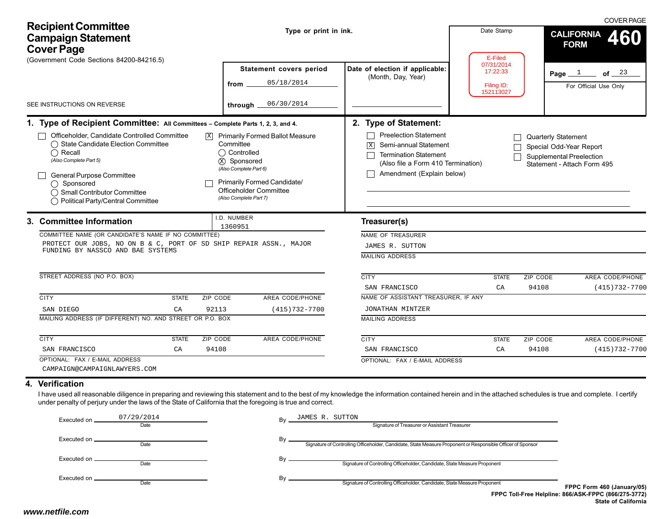| <b>Recipient Committee</b><br><b>Campaign Statement</b><br><b>Cover Page</b>                                                                                                                                                                                                                                                                                                                                                                                                                                                    | Type or print in ink.                                                                                                                                                                                                       |                                                                                                                                                                                                                                                                                                                                                          | Date Stamp                                                   | <b>COVER PAGE</b><br><b>CALIFORNIA</b><br>460<br><b>FORM</b>                                                           |
|---------------------------------------------------------------------------------------------------------------------------------------------------------------------------------------------------------------------------------------------------------------------------------------------------------------------------------------------------------------------------------------------------------------------------------------------------------------------------------------------------------------------------------|-----------------------------------------------------------------------------------------------------------------------------------------------------------------------------------------------------------------------------|----------------------------------------------------------------------------------------------------------------------------------------------------------------------------------------------------------------------------------------------------------------------------------------------------------------------------------------------------------|--------------------------------------------------------------|------------------------------------------------------------------------------------------------------------------------|
| (Government Code Sections 84200-84216.5)<br>SEE INSTRUCTIONS ON REVERSE                                                                                                                                                                                                                                                                                                                                                                                                                                                         | Statement covers period<br>05/18/2014<br>from<br>06/30/2014<br>through.                                                                                                                                                     | Date of election if applicable:<br>(Month, Day, Year)                                                                                                                                                                                                                                                                                                    | E-Filed<br>07/31/2014<br>17:22:33<br>Filing ID:<br>152113027 | of $23$<br>Page $1$<br>For Official Use Only                                                                           |
| 1. Type of Recipient Committee: All Committees - Complete Parts 1, 2, 3, and 4.<br>Officeholder, Candidate Controlled Committee<br>◯ State Candidate Election Committee<br>$\bigcap$ Recall<br>(Also Complete Part 5)<br>General Purpose Committee<br>$\bigcirc$ Sponsored<br>◯ Small Contributor Committee<br>◯ Political Party/Central Committee                                                                                                                                                                              | $\boxed{\text{X}}$ Primarily Formed Ballot Measure<br>Committee<br>◯ Controlled<br>(X) Sponsored<br>(Also Complete Part 6)<br><b>Primarily Formed Candidate/</b><br><b>Officeholder Committee</b><br>(Also Complete Part 7) | 2. Type of Statement:<br><b>Preelection Statement</b><br>$\perp$<br>Semi-annual Statement<br>X<br><b>Termination Statement</b><br>(Also file a Form 410 Termination)<br>Amendment (Explain below)                                                                                                                                                        |                                                              | Quarterly Statement<br>Special Odd-Year Report<br><b>Supplemental Preelection</b><br>Statement - Attach Form 495       |
| 3. Committee Information<br>COMMITTEE NAME (OR CANDIDATE'S NAME IF NO COMMITTEE)<br>PROTECT OUR JOBS, NO ON B & C, PORT OF SD SHIP REPAIR ASSN., MAJOR<br>FUNDING BY NASSCO AND BAE SYSTEMS<br>STREET ADDRESS (NO P.O. BOX)<br><b>CITY</b><br>ZIP CODE<br><b>STATE</b><br>SAN DIEGO<br>CA<br>92113<br>MAILING ADDRESS (IF DIFFERENT) NO. AND STREET OR P.O. BOX<br><b>CITY</b><br><b>STATE</b><br>ZIP CODE<br>94108<br>SAN FRANCISCO<br>CA                                                                                      | I.D. NUMBER<br>1360951<br>AREA CODE/PHONE<br>$(415)732 - 7700$<br>AREA CODE/PHONE                                                                                                                                           | Treasurer(s)<br>NAME OF TREASURER<br>JAMES R. SUTTON<br><b>MAILING ADDRESS</b><br><b>CITY</b><br>SAN FRANCISCO<br>NAME OF ASSISTANT TREASURER, IF ANY<br>JONATHAN MINTZER<br><b>MAILING ADDRESS</b><br><b>CITY</b><br>SAN FRANCISCO                                                                                                                      | <b>STATE</b><br>CA<br><b>STATE</b><br>CA                     | ZIP CODE<br>AREA CODE/PHONE<br>94108<br>$(415)732 - 7700$<br>AREA CODE/PHONE<br>ZIP CODE<br>94108<br>$(415)732 - 7700$ |
| OPTIONAL: FAX / E-MAIL ADDRESS<br>CAMPAIGN@CAMPAIGNLAWYERS.COM<br>4. Verification<br>I have used all reasonable diligence in preparing and reviewing this statement and to the best of my knowledge the information contained herein and in the attached schedules is true and complete. I certify<br>under penalty of perjury under the laws of the State of California that the foregoing is true and correct.<br>07/29/2014<br>Executed on<br>Date<br>Executed on _<br>Date<br>Executed on .<br>Date<br>Executed on.<br>Date | JAMES R. SUTTON<br>By<br>By.<br>By .                                                                                                                                                                                        | OPTIONAL: FAX / E-MAIL ADDRESS<br>Signature of Treasurer or Assistant Treasurer<br>Signature of Controlling Officeholder, Candidate, State Measure Proponent or Responsible Officer of Sponsor<br>Signature of Controlling Officeholder, Candidate, State Measure Proponent<br>Signature of Controlling Officeholder, Candidate, State Measure Proponent |                                                              | FPPC Form 460 (January/05)                                                                                             |
| www.netfile.com                                                                                                                                                                                                                                                                                                                                                                                                                                                                                                                 |                                                                                                                                                                                                                             |                                                                                                                                                                                                                                                                                                                                                          |                                                              | FPPC Toll-Free Helpline: 866/ASK-FPPC (866/275-3772)<br><b>State of California</b>                                     |

# **4. Verification**

| Executed on     | 07/29/2014 | JAMES R. SUTTON<br>Bv                                                                                             |                                                                                    |
|-----------------|------------|-------------------------------------------------------------------------------------------------------------------|------------------------------------------------------------------------------------|
|                 | Date       | Signature of Treasurer or Assistant Treasurer                                                                     |                                                                                    |
|                 | Date       | Bv<br>Signature of Controlling Officeholder, Candidate, State Measure Proponent or Responsible Officer of Sponsor |                                                                                    |
| Executed on __  | Date       | Bv<br>Signature of Controlling Officeholder, Candidate, State Measure Proponent                                   |                                                                                    |
| Executed on ___ | Date       | Bv<br>Signature of Controlling Officeholder, Candidate, State Measure Proponent                                   | FPPC Form 460 (January/05)                                                         |
|                 |            |                                                                                                                   | FPPC Toll-Free Helpline: 866/ASK-FPPC (866/275-3772)<br><b>State of California</b> |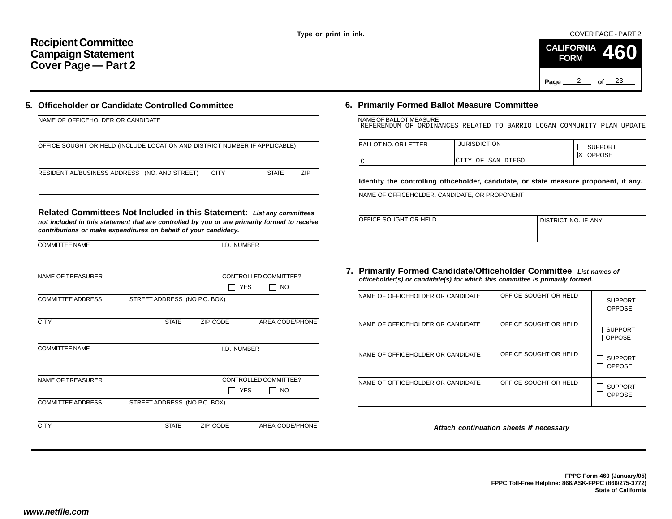COVER PAGE - PART 2

|          | <b>FORM</b> |         | CALIFORNIA 460 |
|----------|-------------|---------|----------------|
| Page $2$ |             | of $23$ |                |

# **5. Officeholder or Candidate Controlled Committee**

| NAME OF OFFICEHOLDER OR CANDIDATE                                          |             |              |            |
|----------------------------------------------------------------------------|-------------|--------------|------------|
| OFFICE SOUGHT OR HELD (INCLUDE LOCATION AND DISTRICT NUMBER IF APPLICABLE) |             |              |            |
| RESIDENTIAL/BUSINESS ADDRESS (NO. AND STREET)                              | <b>CITY</b> | <b>STATE</b> | <b>ZIP</b> |

**Related Committees Not Included in this Statement:** *List any committees not included in this statement that are controlled by you or are primarily formed to receive contributions or make expenditures on behalf of your candidacy.*

| <b>COMMITTEE NAME</b>    |                              |          | I.D. NUMBER |                       |
|--------------------------|------------------------------|----------|-------------|-----------------------|
|                          |                              |          |             |                       |
| <b>NAME OF TREASURER</b> |                              |          |             | CONTROLLED COMMITTEE? |
|                          |                              |          | <b>YES</b>  | <b>NO</b>             |
| <b>COMMITTEE ADDRESS</b> | STREET ADDRESS (NO P.O. BOX) |          |             |                       |
|                          |                              |          |             |                       |
| <b>CITY</b>              | <b>STATE</b>                 | ZIP CODE |             | AREA CODE/PHONE       |
|                          |                              |          |             |                       |
| <b>COMMITTEE NAME</b>    |                              |          | I.D. NUMBER |                       |
|                          |                              |          |             |                       |
|                          |                              |          |             |                       |
| <b>NAME OF TREASURER</b> |                              |          |             | CONTROLLED COMMITTEE? |
|                          |                              |          | <b>YES</b>  | NO                    |
| <b>COMMITTEE ADDRESS</b> | STREET ADDRESS (NO P.O. BOX) |          |             |                       |
|                          |                              |          |             |                       |
| <b>CITY</b>              | <b>STATE</b>                 | ZIP CODE |             | AREA CODE/PHONE       |

# **6. Primarily Formed Ballot Measure Committee**

| NAME OF BALLOT MEASURE                                                 |  |  |  |  |  |
|------------------------------------------------------------------------|--|--|--|--|--|
| REFERENDUM OF ORDINANCES RELATED TO BARRIO LOGAN COMMUNITY PLAN UPDATE |  |  |  |  |  |

| <b>BALLOT NO. OR LETTER</b> | <b>JURISDICTION</b>   | <b>SUPPORT</b>      |
|-----------------------------|-----------------------|---------------------|
|                             | OF SAN DIEGO<br>ICTTY | X <br><b>OPPOSE</b> |

**Identify the controlling officeholder, candidate, or state measure proponent, if any.**

NAME OF OFFICEHOLDER, CANDIDATE, OR PROPONENT

| OFFICE SOUGHT OR HELD | <b>I DISTRICT NO. IF ANY</b> |
|-----------------------|------------------------------|
|                       |                              |
|                       |                              |

#### **7. Primarily Formed Candidate/Officeholder Committee** *List names of officeholder(s) or candidate(s) for which this committee is primarily formed.*

| NAME OF OFFICEHOLDER OR CANDIDATE | OFFICE SOUGHT OR HELD | <b>SUPPORT</b><br><b>OPPOSE</b> |
|-----------------------------------|-----------------------|---------------------------------|
| NAME OF OFFICEHOLDER OR CANDIDATE | OFFICE SOUGHT OR HELD | <b>SUPPORT</b><br><b>OPPOSE</b> |
| NAME OF OFFICEHOLDER OR CANDIDATE | OFFICE SOUGHT OR HELD | <b>SUPPORT</b><br><b>OPPOSE</b> |
| NAME OF OFFICEHOLDER OR CANDIDATE | OFFICE SOUGHT OR HELD | <b>SUPPORT</b><br><b>OPPOSE</b> |

*Attach continuation sheets if necessary*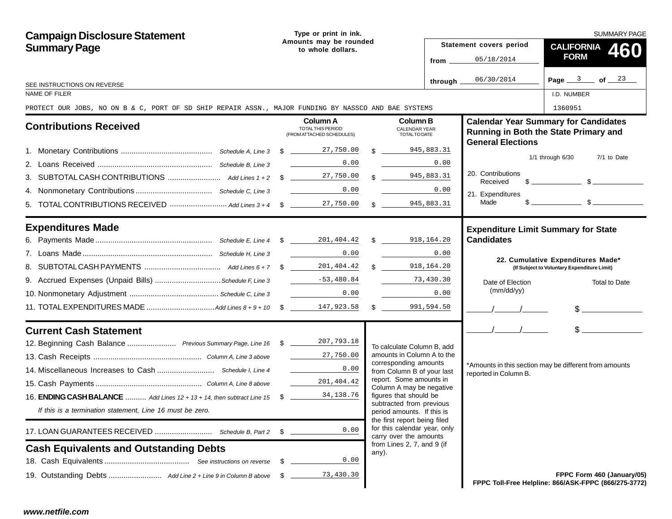| <b>Campaign Disclosure Statement</b>                                                                 |                                             | Type or print in ink.         |  |                                                                                        |                  |                               | <b>SUMMARY PAGE</b>                                                                                                                                                                                                                                                                                                 |  |  |
|------------------------------------------------------------------------------------------------------|---------------------------------------------|-------------------------------|--|----------------------------------------------------------------------------------------|------------------|-------------------------------|---------------------------------------------------------------------------------------------------------------------------------------------------------------------------------------------------------------------------------------------------------------------------------------------------------------------|--|--|
| <b>Summary Page</b>                                                                                  | Amounts may be rounded<br>to whole dollars. |                               |  |                                                                                        |                  | Statement covers period       | <b>CALIFORNIA</b><br>460                                                                                                                                                                                                                                                                                            |  |  |
|                                                                                                      |                                             |                               |  |                                                                                        | from $\_\_$      | 05/18/2014                    | <b>FORM</b>                                                                                                                                                                                                                                                                                                         |  |  |
|                                                                                                      |                                             |                               |  |                                                                                        | through $\equiv$ | 06/30/2014                    | Page $3$ of $23$                                                                                                                                                                                                                                                                                                    |  |  |
| SEE INSTRUCTIONS ON REVERSE<br>NAME OF FILER                                                         |                                             |                               |  |                                                                                        |                  |                               | I.D. NUMBER                                                                                                                                                                                                                                                                                                         |  |  |
| PROTECT OUR JOBS, NO ON B & C, PORT OF SD SHIP REPAIR ASSN., MAJOR FUNDING BY NASSCO AND BAE SYSTEMS |                                             |                               |  |                                                                                        |                  |                               | 1360951                                                                                                                                                                                                                                                                                                             |  |  |
| <b>Contributions Received</b>                                                                        |                                             | Column A<br>TOTAL THIS PERIOD |  | <b>Column B</b><br><b>CALENDAR YEAR</b>                                                |                  |                               | <b>Calendar Year Summary for Candidates</b>                                                                                                                                                                                                                                                                         |  |  |
|                                                                                                      |                                             | (FROM ATTACHED SCHEDULES)     |  | TOTAL TO DATE                                                                          |                  | <b>General Elections</b>      | Running in Both the State Primary and                                                                                                                                                                                                                                                                               |  |  |
|                                                                                                      |                                             |                               |  | $\frac{1}{2}$                                                                          | 945,883.31       |                               | $1/1$ through $6/30$<br>7/1 to Date                                                                                                                                                                                                                                                                                 |  |  |
|                                                                                                      |                                             | 0.00                          |  |                                                                                        | 0.00             |                               |                                                                                                                                                                                                                                                                                                                     |  |  |
|                                                                                                      |                                             |                               |  | \$945,883.31                                                                           |                  | 20. Contributions<br>Received | $\frac{1}{2}$ $\frac{1}{2}$ $\frac{1}{2}$ $\frac{1}{2}$ $\frac{1}{2}$ $\frac{1}{2}$ $\frac{1}{2}$ $\frac{1}{2}$ $\frac{1}{2}$ $\frac{1}{2}$ $\frac{1}{2}$ $\frac{1}{2}$ $\frac{1}{2}$ $\frac{1}{2}$ $\frac{1}{2}$ $\frac{1}{2}$ $\frac{1}{2}$ $\frac{1}{2}$ $\frac{1}{2}$ $\frac{1}{2}$ $\frac{1}{2}$ $\frac{1}{2}$ |  |  |
|                                                                                                      |                                             | 0.00                          |  |                                                                                        | 0.00             | 21. Expenditures              |                                                                                                                                                                                                                                                                                                                     |  |  |
|                                                                                                      |                                             |                               |  | \$945,883.31                                                                           |                  | Made                          | $\sim$ $\sim$ $\sim$ $\sim$                                                                                                                                                                                                                                                                                         |  |  |
| <b>Expenditures Made</b>                                                                             |                                             |                               |  |                                                                                        |                  |                               | <b>Expenditure Limit Summary for State</b>                                                                                                                                                                                                                                                                          |  |  |
|                                                                                                      |                                             |                               |  |                                                                                        |                  | <b>Candidates</b>             |                                                                                                                                                                                                                                                                                                                     |  |  |
|                                                                                                      |                                             | 0.00                          |  |                                                                                        | 0.00             |                               | 22. Cumulative Expenditures Made*                                                                                                                                                                                                                                                                                   |  |  |
|                                                                                                      |                                             |                               |  | $\mathbb{S}$                                                                           | 918,164.20       |                               | (If Subject to Voluntary Expenditure Limit)                                                                                                                                                                                                                                                                         |  |  |
|                                                                                                      |                                             |                               |  |                                                                                        | 73,430.30        | Date of Election              | Total to Date                                                                                                                                                                                                                                                                                                       |  |  |
|                                                                                                      |                                             | 0.00                          |  |                                                                                        | 0.00             | (mm/dd/yy)                    |                                                                                                                                                                                                                                                                                                                     |  |  |
|                                                                                                      |                                             |                               |  | $\frac{1}{2}$                                                                          | 991,594.50       |                               | $\frac{1}{2}$                                                                                                                                                                                                                                                                                                       |  |  |
| <b>Current Cash Statement</b>                                                                        |                                             |                               |  |                                                                                        |                  | $\frac{1}{2}$                 | $\sim$                                                                                                                                                                                                                                                                                                              |  |  |
| 12. Beginning Cash Balance  Previous Summary Page, Line 16 \$ 18 207, 793.18                         |                                             |                               |  | To calculate Column B, add                                                             |                  |                               |                                                                                                                                                                                                                                                                                                                     |  |  |
|                                                                                                      |                                             | $\frac{27}{1}$ , 750.00       |  | amounts in Column A to the<br>corresponding amounts                                    |                  |                               |                                                                                                                                                                                                                                                                                                                     |  |  |
|                                                                                                      |                                             | 0.00                          |  | from Column B of your last                                                             |                  | reported in Column B.         | *Amounts in this section may be different from amounts                                                                                                                                                                                                                                                              |  |  |
|                                                                                                      |                                             | 201,404.42                    |  | report. Some amounts in<br>Column A may be negative                                    |                  |                               |                                                                                                                                                                                                                                                                                                                     |  |  |
| 16. <b>ENDING CASH BALANCE</b> Add Lines 12 + 13 + 14, then subtract Line 15 \$                      |                                             | 34,138.76                     |  | figures that should be                                                                 |                  |                               |                                                                                                                                                                                                                                                                                                                     |  |  |
| If this is a termination statement, Line 16 must be zero.                                            |                                             |                               |  | subtracted from previous<br>period amounts. If this is<br>the first report being filed |                  |                               |                                                                                                                                                                                                                                                                                                                     |  |  |
|                                                                                                      | \$                                          | 0.00                          |  | for this calendar year, only<br>carry over the amounts                                 |                  |                               |                                                                                                                                                                                                                                                                                                                     |  |  |
| <b>Cash Equivalents and Outstanding Debts</b>                                                        |                                             |                               |  | from Lines 2, 7, and 9 (if<br>any).                                                    |                  |                               |                                                                                                                                                                                                                                                                                                                     |  |  |
|                                                                                                      | S.                                          | 0.00                          |  |                                                                                        |                  |                               |                                                                                                                                                                                                                                                                                                                     |  |  |
|                                                                                                      | - \$                                        | 73,430.30                     |  |                                                                                        |                  |                               | FPPC Form 460 (January/05)<br>FPPC Toll-Free Helpline: 866/ASK-FPPC (866/275-3772)                                                                                                                                                                                                                                  |  |  |
|                                                                                                      |                                             |                               |  |                                                                                        |                  |                               |                                                                                                                                                                                                                                                                                                                     |  |  |
| www.netfile.com                                                                                      |                                             |                               |  |                                                                                        |                  |                               |                                                                                                                                                                                                                                                                                                                     |  |  |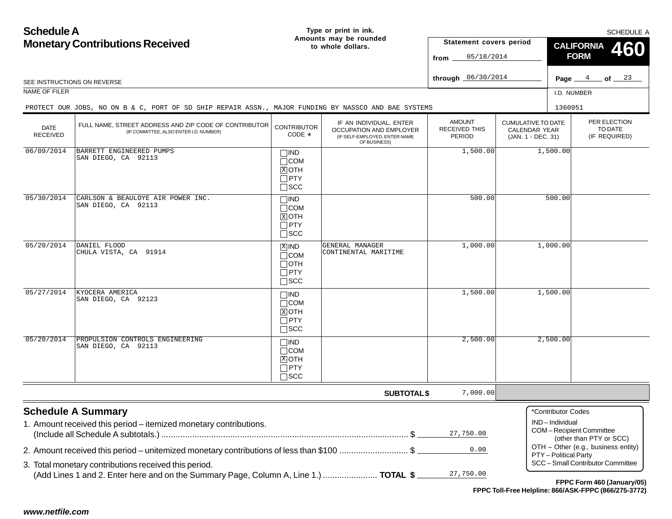**Schedule AMonetary Contributions Received Page**  $\frac{4}{5}$  of  $\frac{23}{5}$ **Type or print in ink. Amounts may be rounded to whole dollars.**PER ELECTIONTO DATE(IF REQUIRED) CUMULATIVE TO DATECALENDAR YEAR(JAN. 1 - DEC. 31) AMOUNTRECEIVED THISPERIODIF AN INDIVIDUAL, ENTER OCCUPATION AND EMPLOYER (IF SELF-EMPLOYED, ENTER NAME OF BUSINESS) DATE RECEIVEDSEE INSTRUCTIONS ON REVERSENAME OF FILER I.D. NUMBERSCHEDULE A**SUBTOTAL \$ CALIFORNIAFORMStatement covers period fromthrough**  $06/30/2014$ **Schedule A Summary** 1. Amount received this period – itemized monetary contributions. (Include all Schedule A subtotals.) ........................................................................................................ \$ 2. Amount received this period – unitemized monetary contributions of less than \$100 ............................. \$ 3. Total monetary contributions received this period. (Add Lines 1 and 2. Enter here and on the Summary Page, Column A, Line 1.) ....................... **TOTAL \$** FULL NAME, STREET ADDRESS AND ZIP CODE OF CONTRIBUTOR (IF COMMITTEE, ALSO ENTER I.D. NUMBER) **CONTRIBUTOR** CODE\*\*Contributor CodesIND – IndividualCOM – Recipient Committee (other than PTY or SCC) OTH – Other (e.g., business entity) PTY – Political Party SCC – Small Contributor Committee $\Box$ IND COM  $\overline{\text{X}}$  OTH  $\sqcap$  PTY  $\Box$ SCC **460** $\Box$ IND  $\Box$ COM  $\overline{\overline{\mathbb{X}}}$ ОТН PTY  $\Box$ SCC ⊠IND  $\Box$ COM  $\Box$ OTH PTYSCC  $\Box$ IND COM xIOTH  $\Box$  PTY SCC  $\Box$ IND  $\Box$ COM **XIOTH**  $\sqcap$  PTY  $\Box$ scc <sup>4</sup> <sup>23</sup> 05/18/2014 06/30/2014 PROTECT OUR JOBS, NO ON B & C, PORT OF SD SHIP REPAIR ASSN., MAJOR FUNDING BY NASSCO AND BAE SYSTEMSs 1360951 06/09/2014 BARRETT ENGINEERED PUMPS SAN DIEGO, CA 921131,500.00 1,500.00  $05/30/2014$  CARLSON & BEAULOYE AIR POWER INC. SAN DIEGO, CA 92113500.00 500.00 05/20/2014 DANIEL FLOOD CHULA VISTA, CA 91914 GENERAL MANAGER CONTINENTAL MARITIME1,000.00 1,000.00  $05/27/2014$  KYOCERA AMERICA SAN DIEGO, CA 921231,500.00 1,500.00 05/20/2014 PROPULSION CONTROLS ENGINEERING SAN DIEGO, CA 921132,500.00 2,500.00 7,000.0027,750.000.0027,750.00

**FPPC Form 460 (January/05) FPPC Toll-Free Helpline: 866/ASK-FPPC (866/275-3772)**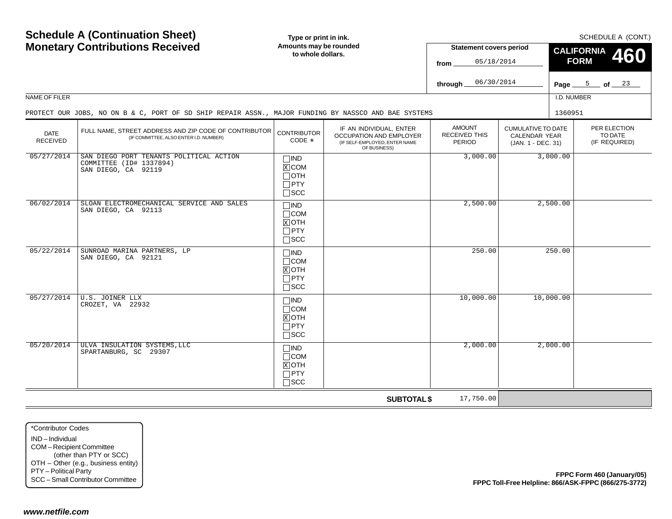| <b>Schedule A (Continuation Sheet)</b>                                                   |                                                                                                      | Type or print in ink.                                                 |                                                                                                            | SCHEDULE A (CONT.)                              |                                                                         |                    |                                          |                            |  |
|------------------------------------------------------------------------------------------|------------------------------------------------------------------------------------------------------|-----------------------------------------------------------------------|------------------------------------------------------------------------------------------------------------|-------------------------------------------------|-------------------------------------------------------------------------|--------------------|------------------------------------------|----------------------------|--|
|                                                                                          | <b>Monetary Contributions Received</b>                                                               | Amounts may be rounded                                                |                                                                                                            | <b>Statement covers period</b>                  |                                                                         | <b>CALIFORNIA</b>  |                                          |                            |  |
|                                                                                          |                                                                                                      | to whole dollars.                                                     |                                                                                                            | 05/18/2014<br>from                              |                                                                         | 460<br><b>FORM</b> |                                          |                            |  |
|                                                                                          |                                                                                                      |                                                                       |                                                                                                            |                                                 |                                                                         |                    |                                          |                            |  |
|                                                                                          |                                                                                                      |                                                                       |                                                                                                            | 06/30/2014<br>through                           |                                                                         |                    | Page $5$ of $23$                         |                            |  |
| NAME OF FILER                                                                            |                                                                                                      |                                                                       |                                                                                                            |                                                 |                                                                         | I.D. NUMBER        |                                          |                            |  |
|                                                                                          | PROTECT OUR JOBS, NO ON B & C, PORT OF SD SHIP REPAIR ASSN., MAJOR FUNDING BY NASSCO AND BAE SYSTEMS |                                                                       |                                                                                                            |                                                 |                                                                         | 1360951            |                                          |                            |  |
| <b>DATE</b><br><b>RECEIVED</b>                                                           | FULL NAME, STREET ADDRESS AND ZIP CODE OF CONTRIBUTOR<br>(IF COMMITTEE, ALSO ENTER I.D. NUMBER)      | <b>CONTRIBUTOR</b><br>CODE *                                          | IF AN INDIVIDUAL, ENTER<br><b>OCCUPATION AND EMPLOYER</b><br>(IF SELF-EMPLOYED, ENTER NAME<br>OF BUSINESS) | <b>AMOUNT</b><br><b>RECEIVED THIS</b><br>PERIOD | <b>CUMULATIVE TO DATE</b><br><b>CALENDAR YEAR</b><br>(JAN. 1 - DEC. 31) |                    | PER ELECTION<br>TO DATE<br>(IF REQUIRED) |                            |  |
| 05/27/2014                                                                               | SAN DIEGO PORT TENANTS POLITICAL ACTION<br>COMMITTEE (ID# 1337894)<br>SAN DIEGO, CA 92119            | $\square$ IND<br>$X$ COM<br>$\Box$ OTH<br>$\Box$ PTY<br>$\square$ SCC |                                                                                                            | 3,000.00                                        |                                                                         | 3,000.00           |                                          |                            |  |
| 06/02/2014                                                                               | SLOAN ELECTROMECHANICAL SERVICE AND SALES<br>SAN DIEGO, CA 92113                                     | $\Box$ IND<br>$\Box$ COM<br>$X$ OTH<br>$\Box$ PTY<br>$\square$ SCC    |                                                                                                            | 2,500.00                                        |                                                                         | 2,500.00           |                                          |                            |  |
| 05/22/2014                                                                               | SUNROAD MARINA PARTNERS, LP<br>SAN DIEGO, CA 92121                                                   | $\Box$ IND<br>$\Box$ COM<br>$X$ OTH<br>$\Box$ PTY<br>$\square$ SCC    |                                                                                                            | 250.00                                          |                                                                         | 250.00             |                                          |                            |  |
| 05/27/2014                                                                               | U.S. JOINER LLX<br>CROZET, VA 22932                                                                  | $\Box$ IND<br>$\Box$ COM<br>$X$ OTH<br>$\Box$ PTY<br>$\square$ SCC    |                                                                                                            | 10,000.00                                       |                                                                         | 10,000.00          |                                          |                            |  |
| 05/20/2014                                                                               | ULVA INSULATION SYSTEMS, LLC<br>SPARTANBURG, SC 29307                                                | $\Box$ IND<br>$\Box$ COM<br>$X$ OTH<br>$\Box$ PTY<br>$\square$ SCC    |                                                                                                            | 2,000.00                                        |                                                                         | 2,000.00           |                                          |                            |  |
|                                                                                          |                                                                                                      |                                                                       | <b>SUBTOTAL \$</b>                                                                                         | 17,750.00                                       |                                                                         |                    |                                          |                            |  |
| *Contributor Codes<br>IND-Individual<br>COM-Recipient Committee<br>PTY - Political Party | (other than PTY or SCC)<br>OTH - Other (e.g., business entity)<br>SCC - Small Contributor Committee  |                                                                       |                                                                                                            |                                                 | FPPC Toll-Free Helpline: 866/ASK-FPPC (866/275-3772)                    |                    |                                          | FPPC Form 460 (January/05) |  |
| www.netfile.com                                                                          |                                                                                                      |                                                                       |                                                                                                            |                                                 |                                                                         |                    |                                          |                            |  |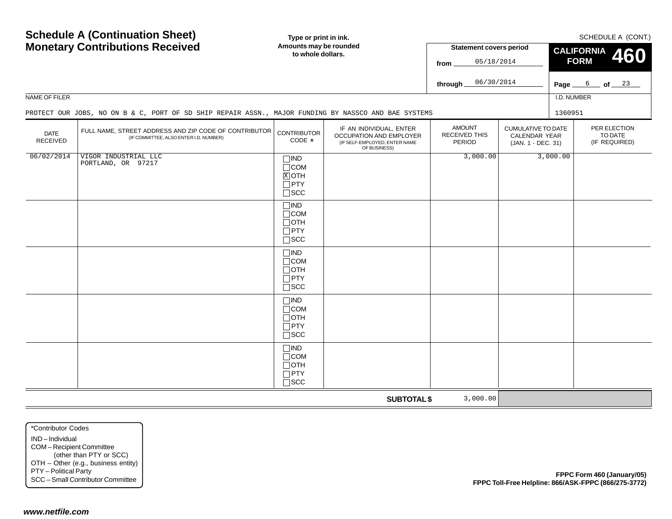| <b>Schedule A (Continuation Sheet)</b>                                                                      |                                                                                                      | Type or print in ink.                                                 |                                                                                                     | SCHEDULE A (CONT.)                       |                                                                         |                    |             |                                          |  |
|-------------------------------------------------------------------------------------------------------------|------------------------------------------------------------------------------------------------------|-----------------------------------------------------------------------|-----------------------------------------------------------------------------------------------------|------------------------------------------|-------------------------------------------------------------------------|--------------------|-------------|------------------------------------------|--|
|                                                                                                             | <b>Monetary Contributions Received</b>                                                               | Amounts may be rounded                                                |                                                                                                     | <b>Statement covers period</b>           |                                                                         | <b>CALIFORNIA</b>  |             |                                          |  |
|                                                                                                             |                                                                                                      | to whole dollars.                                                     |                                                                                                     | 05/18/2014                               |                                                                         | 460<br><b>FORM</b> |             |                                          |  |
|                                                                                                             |                                                                                                      |                                                                       |                                                                                                     | from                                     |                                                                         |                    |             |                                          |  |
|                                                                                                             |                                                                                                      |                                                                       |                                                                                                     | 06/30/2014<br>through                    |                                                                         | Page_              | $6$ of $23$ |                                          |  |
| NAME OF FILER                                                                                               |                                                                                                      |                                                                       |                                                                                                     |                                          |                                                                         | I.D. NUMBER        |             |                                          |  |
|                                                                                                             | PROTECT OUR JOBS, NO ON B & C, PORT OF SD SHIP REPAIR ASSN., MAJOR FUNDING BY NASSCO AND BAE SYSTEMS |                                                                       |                                                                                                     |                                          |                                                                         | 1360951            |             |                                          |  |
| <b>DATE</b><br>RECEIVED                                                                                     | FULL NAME, STREET ADDRESS AND ZIP CODE OF CONTRIBUTOR<br>(IF COMMITTEE, ALSO ENTER I.D. NUMBER)      | <b>CONTRIBUTOR</b><br>CODE *                                          | IF AN INDIVIDUAL, ENTER<br>OCCUPATION AND EMPLOYER<br>(IF SELF-EMPLOYED, ENTER NAME<br>OF BUSINESS) | <b>AMOUNT</b><br>RECEIVED THIS<br>PERIOD | <b>CUMULATIVE TO DATE</b><br><b>CALENDAR YEAR</b><br>(JAN. 1 - DEC. 31) |                    |             | PER ELECTION<br>TO DATE<br>(IF REQUIRED) |  |
| 06/02/2014                                                                                                  | VIGOR INDUSTRIAL LLC<br>PORTLAND, OR 97217                                                           | $\Box$ IND<br>$\Box$ COM<br>$X$ OTH<br>$\Box$ PTY<br>$\square$ SCC    |                                                                                                     | 3,000.00                                 |                                                                         | 3,000.00           |             |                                          |  |
|                                                                                                             |                                                                                                      | $\Box$ IND<br>$\Box$ COM<br>$\Box$ OTH<br>$\Box$ PTY<br>$\square$ SCC |                                                                                                     |                                          |                                                                         |                    |             |                                          |  |
|                                                                                                             |                                                                                                      | $\Box$ IND<br>$\Box$ COM<br>$\Box$ OTH<br>$\Box$ PTY<br>$\square$ SCC |                                                                                                     |                                          |                                                                         |                    |             |                                          |  |
|                                                                                                             |                                                                                                      | $\Box$ IND<br>$\Box$ COM<br>$\Box$ OTH<br>$\Box$ PTY<br>$\square$ SCC |                                                                                                     |                                          |                                                                         |                    |             |                                          |  |
|                                                                                                             |                                                                                                      | $\Box$ IND<br>$\Box$ COM<br>$\Box$ OTH<br>$\Box$ PTY<br>$\square$ SCC |                                                                                                     |                                          |                                                                         |                    |             |                                          |  |
|                                                                                                             |                                                                                                      |                                                                       | <b>SUBTOTAL \$</b>                                                                                  | 3,000.00                                 |                                                                         |                    |             |                                          |  |
| *Contributor Codes<br>IND-Individual<br>COM-Recipient Committee<br>PTY - Political Party<br>www.netfile.com | (other than PTY or SCC)<br>OTH - Other (e.g., business entity)<br>SCC - Small Contributor Committee  |                                                                       |                                                                                                     |                                          | FPPC Toll-Free Helpline: 866/ASK-FPPC (866/275-3772)                    |                    |             | FPPC Form 460 (January/05)               |  |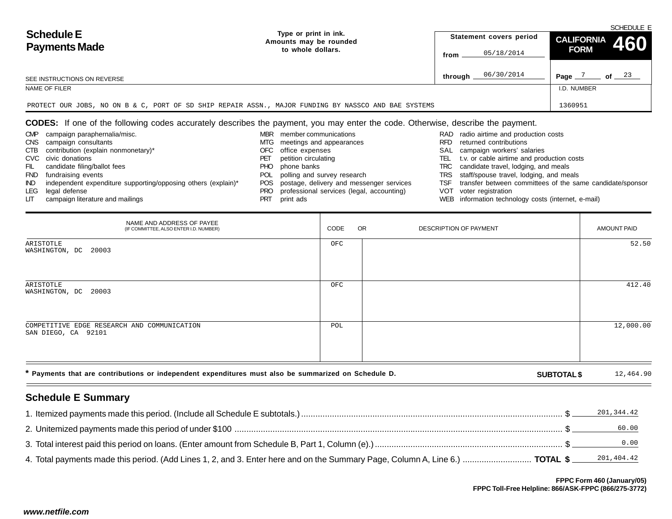| <b>Schedule E</b><br><b>Payments Made</b>                                                            |                                                 | SCHEDULE E |                         |                |         |  |
|------------------------------------------------------------------------------------------------------|-------------------------------------------------|------------|-------------------------|----------------|---------|--|
|                                                                                                      | Type or print in ink.<br>Amounts may be rounded |            | Statement covers period | CALIFORNIA 460 |         |  |
|                                                                                                      | to whole dollars.                               | from       | 05/18/2014              | <b>FORM</b>    |         |  |
| SEE INSTRUCTIONS ON REVERSE                                                                          |                                                 | through    | 06/30/2014              | Page           | of $23$ |  |
| NAME OF FILER                                                                                        |                                                 |            |                         | I.D. NUMBER    |         |  |
| PROTECT OUR JOBS, NO ON B & C, PORT OF SD SHIP REPAIR ASSN., MAJOR FUNDING BY NASSCO AND BAE SYSTEMS | 1360951                                         |            |                         |                |         |  |

# **CODES:** If one of the following codes accurately describes the payment, you may enter the code. Otherwise, describe the payment.

| <b>CMP</b> | campaign paraphernalia/misc.                                  | <b>MBR</b> | member communications                         |      | RAD radio airtime and production costs                        |
|------------|---------------------------------------------------------------|------------|-----------------------------------------------|------|---------------------------------------------------------------|
| <b>CNS</b> | campaign consultants                                          | MTG.       | meetings and appearances                      | RFD. | returned contributions                                        |
| CTB        | contribution (explain nonmonetary)*                           | OFC.       | office expenses                               | SAL  | campaign workers' salaries                                    |
|            | CVC civic donations                                           |            | petition circulating                          |      | TEL t.v. or cable airtime and production costs                |
| - FIL      | candidate filing/ballot fees                                  | PHO.       | phone banks                                   |      | TRC candidate travel, lodging, and meals                      |
| <b>FND</b> | fundraising events                                            |            | POL polling and survey research               |      | TRS staff/spouse travel, lodging, and meals                   |
| IND.       | independent expenditure supporting/opposing others (explain)* |            | POS postage, delivery and messenger services  |      | TSF transfer between committees of the same candidate/sponsor |
| LEG        | legal defense                                                 |            | PRO professional services (legal, accounting) | VOT  | voter registration                                            |
| LП         | campaign literature and mailings                              | PRT        | print ads                                     |      | WEB information technology costs (internet, e-mail)           |

|                                                                                                                                                                                                                                                                                                                                                                                                                                                                                                                                                                                                                                                                                                                                                                                                                                                                                                                                                                                                                                                                                                                                                                                                                                                                        |                   |  | from                             | 05/18/2014 | <b>VINT</b>        |                                      |
|------------------------------------------------------------------------------------------------------------------------------------------------------------------------------------------------------------------------------------------------------------------------------------------------------------------------------------------------------------------------------------------------------------------------------------------------------------------------------------------------------------------------------------------------------------------------------------------------------------------------------------------------------------------------------------------------------------------------------------------------------------------------------------------------------------------------------------------------------------------------------------------------------------------------------------------------------------------------------------------------------------------------------------------------------------------------------------------------------------------------------------------------------------------------------------------------------------------------------------------------------------------------|-------------------|--|----------------------------------|------------|--------------------|--------------------------------------|
| SEE INSTRUCTIONS ON REVERSE                                                                                                                                                                                                                                                                                                                                                                                                                                                                                                                                                                                                                                                                                                                                                                                                                                                                                                                                                                                                                                                                                                                                                                                                                                            |                   |  | through $\overline{\phantom{a}}$ | 06/30/2014 |                    | Page $\frac{7}{2}$ of $\frac{23}{2}$ |
| NAME OF FILER                                                                                                                                                                                                                                                                                                                                                                                                                                                                                                                                                                                                                                                                                                                                                                                                                                                                                                                                                                                                                                                                                                                                                                                                                                                          |                   |  |                                  |            | I.D. NUMBER        |                                      |
| PROTECT OUR JOBS, NO ON B & C, PORT OF SD SHIP REPAIR ASSN., MAJOR FUNDING BY NASSCO AND BAE SYSTEMS                                                                                                                                                                                                                                                                                                                                                                                                                                                                                                                                                                                                                                                                                                                                                                                                                                                                                                                                                                                                                                                                                                                                                                   |                   |  |                                  |            | 1360951            |                                      |
| <b>CODES:</b> If one of the following codes accurately describes the payment, you may enter the code. Otherwise, describe the payment.<br>MBR member communications<br>campaign paraphernalia/misc.<br>RAD radio airtime and production costs<br><b>CMP</b><br>campaign consultants<br>MTG meetings and appearances<br><b>RFD</b><br>returned contributions<br>CNS<br>contribution (explain nonmonetary)*<br>OFC office expenses<br>campaign workers' salaries<br>CTB<br>SAL<br>CVC civic donations<br>petition circulating<br>t.v. or cable airtime and production costs<br>PET<br>TEL<br>candidate filing/ballot fees<br><b>PHO</b><br>phone banks<br>TRC<br>candidate travel, lodging, and meals<br>FIL<br>POL polling and survey research<br>fundraising events<br>staff/spouse travel, lodging, and meals<br><b>FND</b><br>TRS<br>POS postage, delivery and messenger services<br>transfer between committees of the same candidate/sponsor<br>independent expenditure supporting/opposing others (explain)*<br>TSF<br>IND.<br>professional services (legal, accounting)<br>voter registration<br>legal defense<br>VOT<br>LEG.<br>PRO<br>print ads<br>campaign literature and mailings<br><b>PRT</b><br>WEB information technology costs (internet, e-mail)<br>LГ |                   |  |                                  |            |                    |                                      |
| NAME AND ADDRESS OF PAYEE<br>(IF COMMITTEE, ALSO ENTER I.D. NUMBER)                                                                                                                                                                                                                                                                                                                                                                                                                                                                                                                                                                                                                                                                                                                                                                                                                                                                                                                                                                                                                                                                                                                                                                                                    | CODE<br><b>OR</b> |  | DESCRIPTION OF PAYMENT           |            |                    | <b>AMOUNT PAID</b>                   |
| ARISTOTLE<br>WASHINGTON, DC 20003                                                                                                                                                                                                                                                                                                                                                                                                                                                                                                                                                                                                                                                                                                                                                                                                                                                                                                                                                                                                                                                                                                                                                                                                                                      | OFC               |  |                                  |            |                    | 52.50                                |
| ARISTOTLE<br>WASHINGTON, DC 20003                                                                                                                                                                                                                                                                                                                                                                                                                                                                                                                                                                                                                                                                                                                                                                                                                                                                                                                                                                                                                                                                                                                                                                                                                                      | OFC               |  |                                  |            |                    | 412.40                               |
| COMPETITIVE EDGE RESEARCH AND COMMUNICATION<br>SAN DIEGO, CA 92101                                                                                                                                                                                                                                                                                                                                                                                                                                                                                                                                                                                                                                                                                                                                                                                                                                                                                                                                                                                                                                                                                                                                                                                                     | POL               |  |                                  |            |                    | 12,000.00                            |
| * Payments that are contributions or independent expenditures must also be summarized on Schedule D.                                                                                                                                                                                                                                                                                                                                                                                                                                                                                                                                                                                                                                                                                                                                                                                                                                                                                                                                                                                                                                                                                                                                                                   |                   |  |                                  |            | <b>SUBTOTAL \$</b> | 12,464.90                            |
| <b>Schedule E Summary</b>                                                                                                                                                                                                                                                                                                                                                                                                                                                                                                                                                                                                                                                                                                                                                                                                                                                                                                                                                                                                                                                                                                                                                                                                                                              |                   |  |                                  |            |                    |                                      |
|                                                                                                                                                                                                                                                                                                                                                                                                                                                                                                                                                                                                                                                                                                                                                                                                                                                                                                                                                                                                                                                                                                                                                                                                                                                                        |                   |  |                                  |            |                    | 201,344.42                           |
|                                                                                                                                                                                                                                                                                                                                                                                                                                                                                                                                                                                                                                                                                                                                                                                                                                                                                                                                                                                                                                                                                                                                                                                                                                                                        |                   |  |                                  |            |                    | 60.00                                |
|                                                                                                                                                                                                                                                                                                                                                                                                                                                                                                                                                                                                                                                                                                                                                                                                                                                                                                                                                                                                                                                                                                                                                                                                                                                                        |                   |  |                                  |            |                    | 0.00                                 |
| 4. Total payments made this period. (Add Lines 1, 2, and 3. Enter here and on the Summary Page, Column A, Line 6.)  TOTAL \$                                                                                                                                                                                                                                                                                                                                                                                                                                                                                                                                                                                                                                                                                                                                                                                                                                                                                                                                                                                                                                                                                                                                           |                   |  |                                  |            |                    | 201,404.42                           |
| FPPC Form 460 (January/05)<br>FPPC Toll-Free Helpline: 866/ASK-FPPC (866/275-3772)<br>www.netfile.com                                                                                                                                                                                                                                                                                                                                                                                                                                                                                                                                                                                                                                                                                                                                                                                                                                                                                                                                                                                                                                                                                                                                                                  |                   |  |                                  |            |                    |                                      |

# **Schedule E Summary**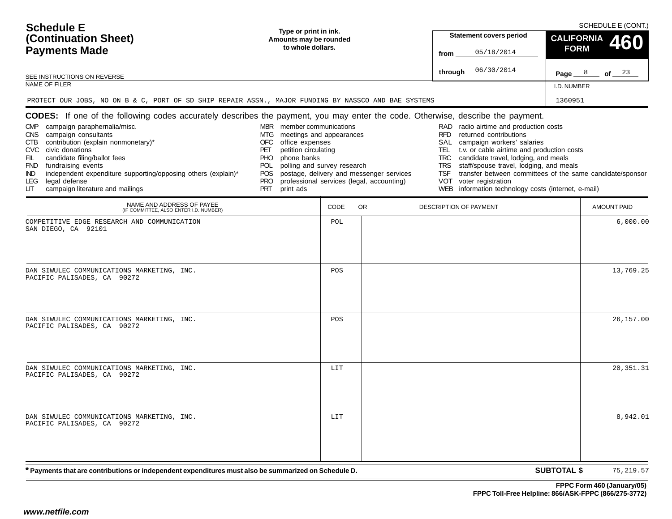| <b>Schedule E</b><br>(Continuation Sheet)<br><b>Payments Made</b><br>SEE INSTRUCTIONS ON REVERSE<br>NAME OF FILER<br>PROTECT OUR JOBS, NO ON B & C, PORT OF SD SHIP REPAIR ASSN., MAJOR FUNDING BY NASSCO AND BAE SYSTEMS                                                                                                                                                                                                                                                                                                | Type or print in ink.<br>Amounts may be rounded<br>to whole dollars.                                                                                                                                                                         |      |                                                                                       | <b>Statement covers period</b><br>05/18/2014<br>from<br>06/30/2014<br>through _                                                                                                                                                                                                                                                                                                                                                             | <b>CALIFORNIA</b><br><b>FORM</b><br>Page $8$ of $23$<br>I.D. NUMBER<br>1360951 | SCHEDULE E (CONT.)<br>460 |
|--------------------------------------------------------------------------------------------------------------------------------------------------------------------------------------------------------------------------------------------------------------------------------------------------------------------------------------------------------------------------------------------------------------------------------------------------------------------------------------------------------------------------|----------------------------------------------------------------------------------------------------------------------------------------------------------------------------------------------------------------------------------------------|------|---------------------------------------------------------------------------------------|---------------------------------------------------------------------------------------------------------------------------------------------------------------------------------------------------------------------------------------------------------------------------------------------------------------------------------------------------------------------------------------------------------------------------------------------|--------------------------------------------------------------------------------|---------------------------|
| CODES: If one of the following codes accurately describes the payment, you may enter the code. Otherwise, describe the payment.<br>campaign paraphernalia/misc.<br><b>CMP</b><br>campaign consultants<br><b>CNS</b><br>contribution (explain nonmonetary)*<br>CTB<br>civic donations<br>CVC<br>candidate filing/ballot fees<br>FIL<br><b>FND</b><br>fundraising events<br>independent expenditure supporting/opposing others (explain)*<br>IND.<br><b>LEG</b><br>legal defense<br>campaign literature and mailings<br>LГ | MBR member communications<br>MTG meetings and appearances<br>office expenses<br>OFC<br>petition circulating<br>PET<br>phone banks<br><b>PHO</b><br>polling and survey research<br>POL<br><b>POS</b><br><b>PRO</b><br><b>PRT</b><br>print ads |      | postage, delivery and messenger services<br>professional services (legal, accounting) | RAD radio airtime and production costs<br><b>RFD</b><br>returned contributions<br>campaign workers' salaries<br>SAL<br>t.v. or cable airtime and production costs<br>TEL<br>candidate travel, lodging, and meals<br>TRC<br>TRS<br>staff/spouse travel, lodging, and meals<br>transfer between committees of the same candidate/sponsor<br>TSF<br>VOT<br>voter registration<br>information technology costs (internet, e-mail)<br><b>WEB</b> |                                                                                |                           |
| NAME AND ADDRESS OF PAYEE<br>(IF COMMITTEE, ALSO ENTER I.D. NUMBER)                                                                                                                                                                                                                                                                                                                                                                                                                                                      |                                                                                                                                                                                                                                              | CODE | OR.                                                                                   | DESCRIPTION OF PAYMENT                                                                                                                                                                                                                                                                                                                                                                                                                      |                                                                                | <b>AMOUNT PAID</b>        |
| COMPETITIVE EDGE RESEARCH AND COMMUNICATION<br>SAN DIEGO, CA 92101                                                                                                                                                                                                                                                                                                                                                                                                                                                       |                                                                                                                                                                                                                                              | POL  |                                                                                       |                                                                                                                                                                                                                                                                                                                                                                                                                                             |                                                                                | 6,000.00                  |
| DAN SIWULEC COMMUNICATIONS MARKETING, INC.<br>PACIFIC PALISADES, CA 90272                                                                                                                                                                                                                                                                                                                                                                                                                                                |                                                                                                                                                                                                                                              | POS  |                                                                                       |                                                                                                                                                                                                                                                                                                                                                                                                                                             |                                                                                | 13,769.25                 |
| DAN SIWULEC COMMUNICATIONS MARKETING, INC.<br>PACIFIC PALISADES, CA 90272                                                                                                                                                                                                                                                                                                                                                                                                                                                |                                                                                                                                                                                                                                              | POS  |                                                                                       |                                                                                                                                                                                                                                                                                                                                                                                                                                             |                                                                                | 26,157.00                 |
| DAN SIWULEC COMMUNICATIONS MARKETING, INC.<br>PACIFIC PALISADES, CA 90272                                                                                                                                                                                                                                                                                                                                                                                                                                                |                                                                                                                                                                                                                                              | LIT  |                                                                                       |                                                                                                                                                                                                                                                                                                                                                                                                                                             |                                                                                | 20, 351. 31               |
| DAN SIWULEC COMMUNICATIONS MARKETING, INC.<br>PACIFIC PALISADES, CA 90272                                                                                                                                                                                                                                                                                                                                                                                                                                                |                                                                                                                                                                                                                                              | LIT  |                                                                                       |                                                                                                                                                                                                                                                                                                                                                                                                                                             |                                                                                | 8,942.01                  |
| * Payments that are contributions or independent expenditures must also be summarized on Schedule D.                                                                                                                                                                                                                                                                                                                                                                                                                     |                                                                                                                                                                                                                                              |      |                                                                                       |                                                                                                                                                                                                                                                                                                                                                                                                                                             | <b>SUBTOTAL \$</b>                                                             | 75, 219.57                |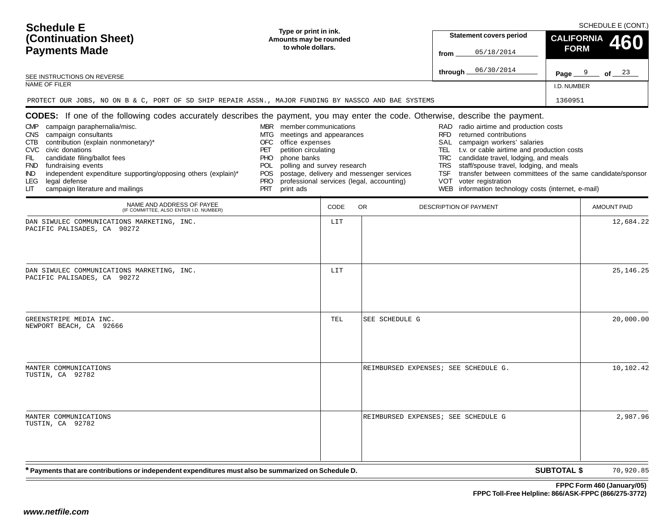| <b>Schedule E</b><br>(Continuation Sheet)<br><b>Payments Made</b><br>SEE INSTRUCTIONS ON REVERSE<br><b>NAME OF FILER</b><br>PROTECT OUR JOBS, NO ON B & C, PORT OF SD SHIP REPAIR ASSN., MAJOR FUNDING BY NASSCO AND BAE SYSTEMS                                                                                                                                                                                                                                                                                                | Type or print in ink.<br>Amounts may be rounded<br>to whole dollars.                                                                                                                                                                              |      |                                                                                       | <b>Statement covers period</b><br>05/18/2014<br>from<br>06/30/2014<br>through $\_$                                                                                                                                                                                                                                                                                                                                                                 | <b>CALIFORNIA</b><br><b>FORM</b><br>I.D. NUMBER<br>1360951 | SCHEDULE E (CONT.)<br>Page $9$ of $23$ |
|---------------------------------------------------------------------------------------------------------------------------------------------------------------------------------------------------------------------------------------------------------------------------------------------------------------------------------------------------------------------------------------------------------------------------------------------------------------------------------------------------------------------------------|---------------------------------------------------------------------------------------------------------------------------------------------------------------------------------------------------------------------------------------------------|------|---------------------------------------------------------------------------------------|----------------------------------------------------------------------------------------------------------------------------------------------------------------------------------------------------------------------------------------------------------------------------------------------------------------------------------------------------------------------------------------------------------------------------------------------------|------------------------------------------------------------|----------------------------------------|
| <b>CODES:</b> If one of the following codes accurately describes the payment, you may enter the code. Otherwise, describe the payment.<br>campaign paraphernalia/misc.<br><b>CMP</b><br>campaign consultants<br><b>CNS</b><br>contribution (explain nonmonetary)*<br>CTB<br><b>CVC</b><br>civic donations<br>FIL<br>candidate filing/ballot fees<br><b>FND</b><br>fundraising events<br>independent expenditure supporting/opposing others (explain)*<br>IND.<br>legal defense<br>LEG<br>campaign literature and mailings<br>LП | MBR member communications<br>meetings and appearances<br>MTG.<br>office expenses<br><b>OFC</b><br>PET<br>petition circulating<br>PHO.<br>phone banks<br>polling and survey research<br><b>POL</b><br>POS<br><b>PRO</b><br><b>PRT</b><br>print ads |      | postage, delivery and messenger services<br>professional services (legal, accounting) | RAD radio airtime and production costs<br><b>RFD</b><br>returned contributions<br>SAL<br>campaign workers' salaries<br>TEL<br>t.v. or cable airtime and production costs<br>TRC<br>candidate travel, lodging, and meals<br>TRS<br>staff/spouse travel, lodging, and meals<br>transfer between committees of the same candidate/sponsor<br><b>TSF</b><br>voter registration<br>VOT<br>information technology costs (internet, e-mail)<br><b>WEB</b> |                                                            |                                        |
| NAME AND ADDRESS OF PAYEE<br>(IF COMMITTEE, ALSO ENTER I.D. NUMBER)                                                                                                                                                                                                                                                                                                                                                                                                                                                             |                                                                                                                                                                                                                                                   | CODE | <b>OR</b>                                                                             | DESCRIPTION OF PAYMENT                                                                                                                                                                                                                                                                                                                                                                                                                             |                                                            | <b>AMOUNT PAID</b>                     |
| DAN SIWULEC COMMUNICATIONS MARKETING, INC.<br>PACIFIC PALISADES, CA 90272                                                                                                                                                                                                                                                                                                                                                                                                                                                       |                                                                                                                                                                                                                                                   | LIT  |                                                                                       |                                                                                                                                                                                                                                                                                                                                                                                                                                                    |                                                            | 12,684.22                              |
| DAN SIWULEC COMMUNICATIONS MARKETING, INC.<br>PACIFIC PALISADES, CA 90272                                                                                                                                                                                                                                                                                                                                                                                                                                                       |                                                                                                                                                                                                                                                   | LIT  |                                                                                       |                                                                                                                                                                                                                                                                                                                                                                                                                                                    |                                                            | 25, 146. 25                            |
| GREENSTRIPE MEDIA INC.<br>NEWPORT BEACH, CA 92666                                                                                                                                                                                                                                                                                                                                                                                                                                                                               |                                                                                                                                                                                                                                                   | TEL  | SEE SCHEDULE G                                                                        |                                                                                                                                                                                                                                                                                                                                                                                                                                                    |                                                            | 20,000.00                              |
| MANTER COMMUNICATIONS<br>TUSTIN, CA 92782                                                                                                                                                                                                                                                                                                                                                                                                                                                                                       |                                                                                                                                                                                                                                                   |      |                                                                                       | REIMBURSED EXPENSES; SEE SCHEDULE G.                                                                                                                                                                                                                                                                                                                                                                                                               |                                                            | 10,102.42                              |
| MANTER COMMUNICATIONS<br>TUSTIN, CA 92782                                                                                                                                                                                                                                                                                                                                                                                                                                                                                       |                                                                                                                                                                                                                                                   |      |                                                                                       | REIMBURSED EXPENSES; SEE SCHEDULE G                                                                                                                                                                                                                                                                                                                                                                                                                |                                                            | 2,987.96                               |
| * Payments that are contributions or independent expenditures must also be summarized on Schedule D.                                                                                                                                                                                                                                                                                                                                                                                                                            |                                                                                                                                                                                                                                                   |      |                                                                                       |                                                                                                                                                                                                                                                                                                                                                                                                                                                    | <b>SUBTOTAL \$</b>                                         | 70,920.85                              |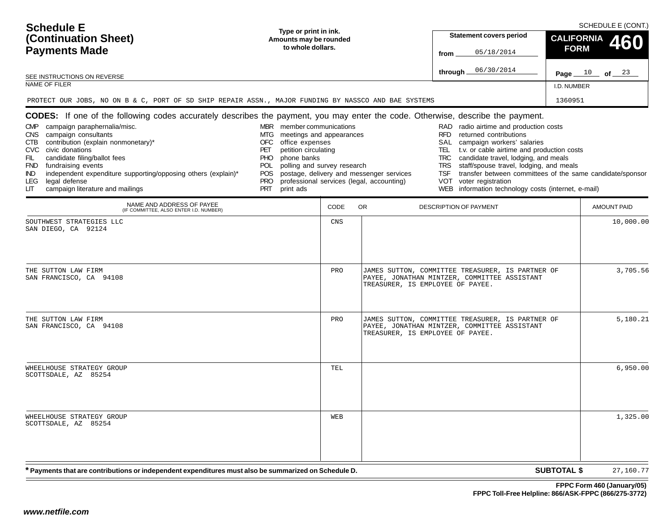| <b>Schedule E</b><br>Type or print in ink.<br>(Continuation Sheet)<br>Amounts may be rounded<br>to whole dollars.<br><b>Payments Made</b><br>SEE INSTRUCTIONS ON REVERSE<br>NAME OF FILER                                                                                                                                                                                                                                                                                                                                 |                                                                                                                                                                                                                                           |      | <b>Statement covers period</b><br>05/18/2014<br>from<br>06/30/2014<br>through $\equiv$ |                                                                                                                                                                                                                                                                                                                                                                                                                                                   |                    |                    |  |
|---------------------------------------------------------------------------------------------------------------------------------------------------------------------------------------------------------------------------------------------------------------------------------------------------------------------------------------------------------------------------------------------------------------------------------------------------------------------------------------------------------------------------|-------------------------------------------------------------------------------------------------------------------------------------------------------------------------------------------------------------------------------------------|------|----------------------------------------------------------------------------------------|---------------------------------------------------------------------------------------------------------------------------------------------------------------------------------------------------------------------------------------------------------------------------------------------------------------------------------------------------------------------------------------------------------------------------------------------------|--------------------|--------------------|--|
| PROTECT OUR JOBS, NO ON B & C, PORT OF SD SHIP REPAIR ASSN., MAJOR FUNDING BY NASSCO AND BAE SYSTEMS                                                                                                                                                                                                                                                                                                                                                                                                                      |                                                                                                                                                                                                                                           |      |                                                                                        |                                                                                                                                                                                                                                                                                                                                                                                                                                                   | 1360951            |                    |  |
| <b>CODES:</b> If one of the following codes accurately describes the payment, you may enter the code. Otherwise, describe the payment.<br>campaign paraphernalia/misc.<br><b>CMP</b><br>campaign consultants<br>CNS<br>contribution (explain nonmonetary)*<br>CTB<br>civic donations<br><b>CVC</b><br>candidate filing/ballot fees<br>FIL<br>fundraising events<br><b>FND</b><br>independent expenditure supporting/opposing others (explain)*<br>IND.<br>legal defense<br>LEG<br>campaign literature and mailings<br>LIТ | MBR member communications<br>meetings and appearances<br>MTG<br>office expenses<br>OFC<br>petition circulating<br>PET<br><b>PHO</b><br>phone banks<br>polling and survey research<br>POL<br>POS.<br><b>PRO</b><br><b>PRT</b><br>print ads |      | postage, delivery and messenger services<br>professional services (legal, accounting)  | RAD radio airtime and production costs<br><b>RFD</b><br>returned contributions<br>SAL<br>campaign workers' salaries<br>t.v. or cable airtime and production costs<br>TEL 1<br>candidate travel, lodging, and meals<br><b>TRC</b><br>staff/spouse travel, lodging, and meals<br><b>TRS</b><br>transfer between committees of the same candidate/sponsor<br>TSF<br>voter registration<br>VOT<br>WEB information technology costs (internet, e-mail) |                    |                    |  |
| NAME AND ADDRESS OF PAYEE<br>(IF COMMITTEE, ALSO ENTER I.D. NUMBER)                                                                                                                                                                                                                                                                                                                                                                                                                                                       |                                                                                                                                                                                                                                           | CODE | OR.                                                                                    | DESCRIPTION OF PAYMENT                                                                                                                                                                                                                                                                                                                                                                                                                            |                    | <b>AMOUNT PAID</b> |  |
| SOUTHWEST STRATEGIES LLC<br>SAN DIEGO, CA 92124                                                                                                                                                                                                                                                                                                                                                                                                                                                                           |                                                                                                                                                                                                                                           | CNS  |                                                                                        |                                                                                                                                                                                                                                                                                                                                                                                                                                                   |                    | 10,000.00          |  |
| THE SUTTON LAW FIRM<br>SAN FRANCISCO, CA 94108                                                                                                                                                                                                                                                                                                                                                                                                                                                                            |                                                                                                                                                                                                                                           | PRO  | TREASURER, IS EMPLOYEE OF PAYEE.                                                       | JAMES SUTTON, COMMITTEE TREASURER, IS PARTNER OF<br>PAYEE, JONATHAN MINTZER, COMMITTEE ASSISTANT                                                                                                                                                                                                                                                                                                                                                  |                    | 3,705.56           |  |
| THE SUTTON LAW FIRM<br>SAN FRANCISCO, CA 94108                                                                                                                                                                                                                                                                                                                                                                                                                                                                            |                                                                                                                                                                                                                                           | PRO  | TREASURER, IS EMPLOYEE OF PAYEE.                                                       | JAMES SUTTON, COMMITTEE TREASURER, IS PARTNER OF<br>PAYEE, JONATHAN MINTZER, COMMITTEE ASSISTANT                                                                                                                                                                                                                                                                                                                                                  |                    | 5,180.21           |  |
| WHEELHOUSE STRATEGY GROUP<br>SCOTTSDALE, AZ 85254                                                                                                                                                                                                                                                                                                                                                                                                                                                                         |                                                                                                                                                                                                                                           | TEL  |                                                                                        |                                                                                                                                                                                                                                                                                                                                                                                                                                                   |                    | 6,950.00           |  |
| WHEELHOUSE STRATEGY GROUP<br>SCOTTSDALE, AZ 85254                                                                                                                                                                                                                                                                                                                                                                                                                                                                         |                                                                                                                                                                                                                                           | WEB  |                                                                                        |                                                                                                                                                                                                                                                                                                                                                                                                                                                   |                    | 1,325.00           |  |
| * Payments that are contributions or independent expenditures must also be summarized on Schedule D.                                                                                                                                                                                                                                                                                                                                                                                                                      |                                                                                                                                                                                                                                           |      |                                                                                        |                                                                                                                                                                                                                                                                                                                                                                                                                                                   | <b>SUBTOTAL \$</b> | 27,160.77          |  |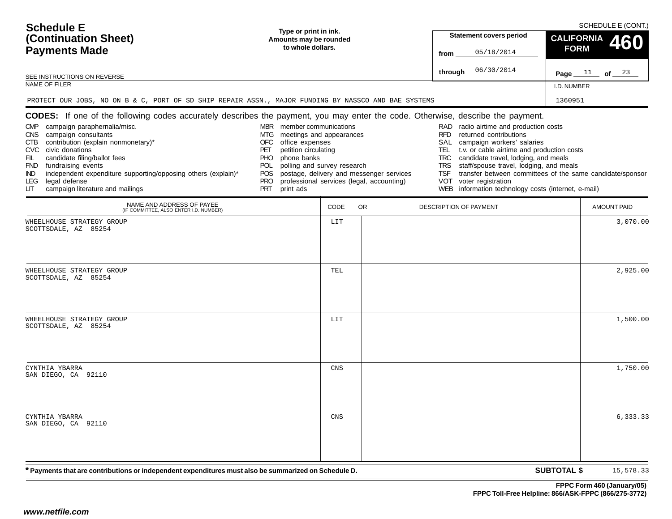| <b>Schedule E</b><br>(Continuation Sheet)<br><b>Payments Made</b><br>SEE INSTRUCTIONS ON REVERSE<br><b>NAME OF FILER</b><br>PROTECT OUR JOBS, NO ON B & C, PORT OF SD SHIP REPAIR ASSN., MAJOR FUNDING BY NASSCO AND BAE SYSTEMS                                                                                                                                                                                                                                                                                                 | Type or print in ink.<br>Amounts may be rounded<br>to whole dollars.                                                                                                                                                            |      |                                                                                       | <b>Statement covers period</b><br>05/18/2014<br>from<br>06/30/2014<br>through.                                                                                                                                                                                                                                                                                                                                                       | <b>CALIFORNIA</b><br><b>FORM</b><br>I.D. NUMBER<br>1360951 | SCHEDULE E (CONT.)<br>460<br>Page $11$ of $23$ |
|----------------------------------------------------------------------------------------------------------------------------------------------------------------------------------------------------------------------------------------------------------------------------------------------------------------------------------------------------------------------------------------------------------------------------------------------------------------------------------------------------------------------------------|---------------------------------------------------------------------------------------------------------------------------------------------------------------------------------------------------------------------------------|------|---------------------------------------------------------------------------------------|--------------------------------------------------------------------------------------------------------------------------------------------------------------------------------------------------------------------------------------------------------------------------------------------------------------------------------------------------------------------------------------------------------------------------------------|------------------------------------------------------------|------------------------------------------------|
| <b>CODES:</b> If one of the following codes accurately describes the payment, you may enter the code. Otherwise, describe the payment.<br>campaign paraphernalia/misc.<br><b>CMP</b><br>campaign consultants<br><b>CNS</b><br>contribution (explain nonmonetary)*<br>CTB<br><b>CVC</b><br>civic donations<br>candidate filing/ballot fees<br>FIL<br>fundraising events<br><b>FND</b><br>independent expenditure supporting/opposing others (explain)*<br>IND.<br>legal defense<br>LEG.<br>campaign literature and mailings<br>LГ | MBR member communications<br>MTG meetings and appearances<br>office expenses<br>OFC<br>petition circulating<br>PET<br>phone banks<br>PHO.<br>polling and survey research<br>POL<br>POS<br><b>PRO</b><br><b>PRT</b><br>print ads |      | postage, delivery and messenger services<br>professional services (legal, accounting) | RAD radio airtime and production costs<br>RFD<br>returned contributions<br>SAL<br>campaign workers' salaries<br>t.v. or cable airtime and production costs<br>TEL<br>candidate travel, lodging, and meals<br>TRC<br>staff/spouse travel, lodging, and meals<br>TRS<br>transfer between committees of the same candidate/sponsor<br><b>TSF</b><br>VOT<br>voter registration<br>information technology costs (internet, e-mail)<br>WEB |                                                            |                                                |
| NAME AND ADDRESS OF PAYEE<br>(IF COMMITTEE, ALSO ENTER I.D. NUMBER)                                                                                                                                                                                                                                                                                                                                                                                                                                                              |                                                                                                                                                                                                                                 | CODE | OR.                                                                                   | DESCRIPTION OF PAYMENT                                                                                                                                                                                                                                                                                                                                                                                                               |                                                            | <b>AMOUNT PAID</b>                             |
| WHEELHOUSE STRATEGY GROUP<br>SCOTTSDALE, AZ 85254                                                                                                                                                                                                                                                                                                                                                                                                                                                                                |                                                                                                                                                                                                                                 | LIT  |                                                                                       |                                                                                                                                                                                                                                                                                                                                                                                                                                      |                                                            | 3,070.00                                       |
| WHEELHOUSE STRATEGY GROUP<br>SCOTTSDALE, AZ 85254                                                                                                                                                                                                                                                                                                                                                                                                                                                                                |                                                                                                                                                                                                                                 | TEL  |                                                                                       |                                                                                                                                                                                                                                                                                                                                                                                                                                      |                                                            | 2,925.00                                       |
| WHEELHOUSE STRATEGY GROUP<br>SCOTTSDALE, AZ 85254                                                                                                                                                                                                                                                                                                                                                                                                                                                                                |                                                                                                                                                                                                                                 | LIT  |                                                                                       |                                                                                                                                                                                                                                                                                                                                                                                                                                      |                                                            | 1,500.00                                       |
| CYNTHIA YBARRA<br>SAN DIEGO, CA 92110                                                                                                                                                                                                                                                                                                                                                                                                                                                                                            |                                                                                                                                                                                                                                 | CNS  |                                                                                       |                                                                                                                                                                                                                                                                                                                                                                                                                                      |                                                            | 1,750.00                                       |
| CYNTHIA YBARRA<br>SAN DIEGO, CA 92110                                                                                                                                                                                                                                                                                                                                                                                                                                                                                            |                                                                                                                                                                                                                                 | CNS  |                                                                                       |                                                                                                                                                                                                                                                                                                                                                                                                                                      |                                                            | 6,333.33                                       |
| * Payments that are contributions or independent expenditures must also be summarized on Schedule D.                                                                                                                                                                                                                                                                                                                                                                                                                             |                                                                                                                                                                                                                                 |      |                                                                                       |                                                                                                                                                                                                                                                                                                                                                                                                                                      | <b>SUBTOTAL \$</b>                                         | 15,578.33                                      |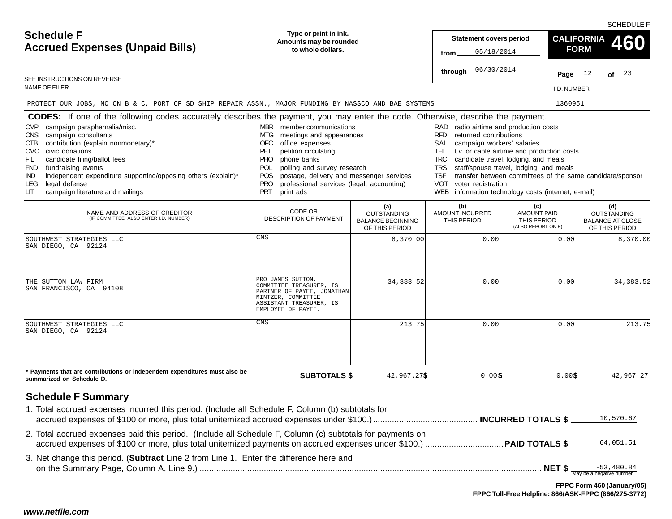**Statement covers period fromthrough** I.D. NUMBERSCHEDULE F**Type or print in ink. Amounts may be rounded to whole dollars.Page**  $12$  of  $23$ **Schedule FAccrued Expenses (Unpaid Bills)** SEE INSTRUCTIONS ON REVERSENAME OF FILERNAME AND ADDRESS OF CREDITOR (IF COMMITTEE, ALSO ENTER I.D. NUMBER) **\$** CODE OR DESCRIPTION OF PAYMENT**(a)** OUTSTANDING BALANCE BEGINNING OF THIS PERIOD**(b)** AMOUNT INCURREDTHIS PERIOD**(c)** AMOUNT PAID THIS PERIOD (ALSO REPORT ON E) **(d)** OUTSTANDING BALANCE AT CLOSEOF THIS PERIOD**SUBTOTALS \$ \$** 42,967.27**\$ CALIFORNIAFORM 460 CODES:** If one of the following codes accurately describes the payment, you may enter the code. Otherwise, describe the payment. **\* Payments that are contributions or independent expenditures must also be summarized on Schedule D.** RAD radio airtime and production costs RFD returned contributionsSAL campaign workers' salaries TEL t.v. or cable airtime and production costs TRC candidate travel, lodging, and meals TRS staff/spouse travel, lodging, and meals TSF transfer between committees of the same candidate/sponsor VOT voter registration WEB information technology costs (internet, e-mail) MBR member communicationsMTG meetings and appearances OFC office expenses PET petition circulating PHO phone banks POL polling and survey research POS postage, delivery and messenger services PRO professional services (legal, accounting) PRT print ads CMP campaign paraphernalia/misc. CNS campaign consultants CTB contribution (explain nonmonetary)\* CVC civic donationsFIL candidate filing/ballot fees FND fundraising events IND independent expenditure supporting/opposing others (explain)\* LEG legal defense LIT campaign literature and mailings <sup>12</sup> <sup>23</sup> 05/18/2014 06/30/2014 PROTECT OUR JOBS, NO ON B & C, PORT OF SD SHIP REPAIR ASSN., MAJOR FUNDING BY NASSCO AND BAE SYSTEMS <sup>1360951</sup> SOUTHWEST STRATEGIES LLCSAN DIEGO, CA 92124CNS 8,370.00 0.00 0.00 8,370.00 THE SUTTON LAW FIRM SAN FRANCISCO, CA 94108PRO JAMES SUTTON, COMMITTEE TREASURER, IS PARTNER OF PAYEE, JONATHANMINTZER, COMMITTEE ASSISTANT TREASURER, ISEMPLOYEE OF PAYEE.34,383.522 0.00 0.00 0.00 34,383.52 SOUTHWEST STRATEGIES LLCSAN DIEGO, CA 92124CNS> 213.75 5 0.00 0.00 0.00 213.75 7\$ 0.00\$ 0.00\$ 42,967.27

# **Schedule F Summary**

| 1. Total accrued expenses incurred this period. (Include all Schedule F, Column (b) subtotals for         | 10,570.67 |
|-----------------------------------------------------------------------------------------------------------|-----------|
| 2. Total accrued expenses paid this period. (Include all Schedule F, Column (c) subtotals for payments on | 64,051.51 |
| 3. Net change this period. (Subtract Line 2 from Line 1. Enter the difference here and                    |           |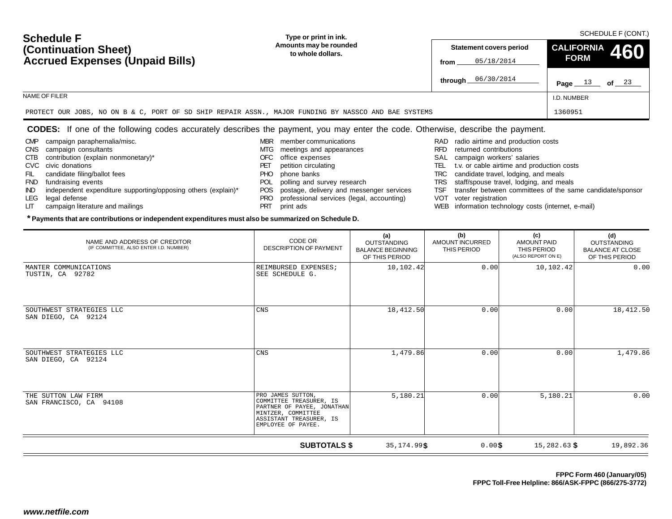#### **Statement covers period fromthrough** I.D. NUMBER **Amounts may be rounded to whole dollars.**05/18/2014 **Page** 13 **of** 23 **Schedule FAccrued Expenses (Unpaid Bills)** NAME OF FILER**CALIFORNIAFORM 460 (Continuation Sheet)**PROTECT OUR JOBS, NO ON B & C, PORT OF SD SHIP REPAIR ASSN., MAJOR FUNDING BY NASSCO AND BAE SYSTEMSs 1360951

### **CODES:** If one of the following codes accurately describes the payment, you may enter the code. Otherwise, describe the payment.

- CMP campaign paraphernalia/misc.
- CNS campaign consultants
- CTB contribution (explain nonmonetary)\*
- CVC civic donations
- FIL candidate filing/ballot fees

SAN FRANCISCO, CA 94108

- FND fundraising events
- IND independent expenditure supporting/opposing others (explain)\*

**\* Payments that are contributions or independent expenditures must also be summarized on Schedule D.**

- LEG legal defense
- LIT campaign literature and mailings
- MBR member communications
- MTG meetings and appearances
- OFC office expenses
- PET petition circulating PHO phone banks
- POL polling and survey research
- POS postage, delivery and messenger services
- PRO professional services (legal, accounting)
- PRT print ads
- RAD radio airtime and production costs
- RFD returned contributions
- SAL campaign workers' salaries
- TEL t.v. or cable airtime and production costs
- TRC candidate travel, lodging, and meals

**\$**

**9\$** 0.00\$ 15,282.63 \$ 19,892.36

**FPPC Toll-Free Helpline: 866/ASK-FPPC (866/275-3772)**

**FPPC Form 460 (January/05)**

- TRS staff/spouse travel, lodging, and meals
- TSF transfer between committees of the same candidate/sponsor
- VOT voter registration
- WEB information technology costs (internet, e-mail)

| NAME AND ADDRESS OF CREDITOR<br>(IF COMMITTEE, ALSO ENTER I.D. NUMBER) | CODE OR<br><b>DESCRIPTION OF PAYMENT</b>     | (a)<br><b>OUTSTANDING</b><br><b>BALANCE BEGINNING</b><br>OF THIS PERIOD | (b)<br>AMOUNT INCURRED<br>THIS PERIOD | (c)<br>AMOUNT PAID<br>THIS PERIOD<br>(ALSO REPORT ON E) | (d)<br><b>OUTSTANDING</b><br><b>BALANCE AT CLOSE</b><br>OF THIS PERIOD |
|------------------------------------------------------------------------|----------------------------------------------|-------------------------------------------------------------------------|---------------------------------------|---------------------------------------------------------|------------------------------------------------------------------------|
| MANTER COMMUNICATIONS<br>TUSTIN, CA 92782                              | REIMBURSED EXPENSES;<br>SEE SCHEDULE G.      | 10,102.42                                                               | 0.00                                  | 10,102.42                                               | 0.00                                                                   |
| SOUTHWEST STRATEGIES LLC<br>SAN DIEGO, CA 92124                        | CNS                                          | 18,412.50                                                               | 0.00                                  | 0.00                                                    | 18, 412.50                                                             |
| SOUTHWEST STRATEGIES LLC<br>92124<br>SAN DIEGO, CA                     | CNS                                          | 1,479.86                                                                | 0.00                                  | 0.00                                                    | 1,479.86                                                               |
| THE SUTTON LAW FIRM<br>SAN FRANCISCO CA 94108                          | PRO JAMES SUTTON,<br>COMMITTEE TREASURER, IS | 5,180.21                                                                | 0.00                                  | 5,180.21                                                | 0.00                                                                   |

**SUBTOTALS \$**

 PARTNER OF PAYEE, JONATHANMINTZER, COMMITTEE ASSISTANT TREASURER, ISEMPLOYEE OF PAYEE.

**\$** 35,174.99

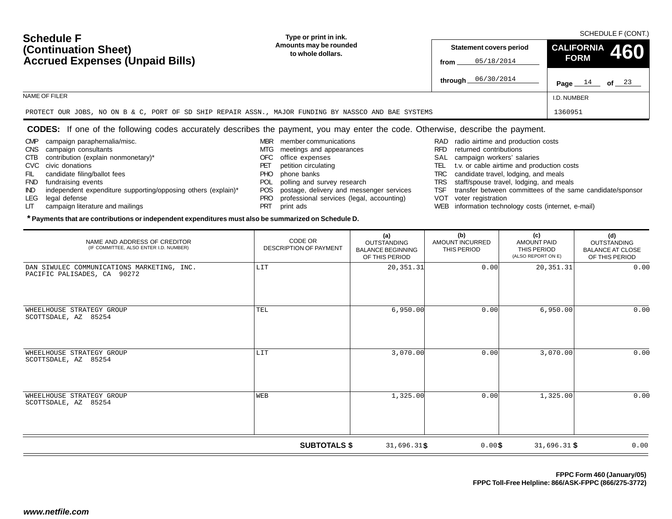| www.netfile.com |  |  |
|-----------------|--|--|

| <b>Schedule F</b>                                                                                    | Type or print in ink.                       | <b>OUTLDULL TOURE!</b>                               |                               |         |  |  |
|------------------------------------------------------------------------------------------------------|---------------------------------------------|------------------------------------------------------|-------------------------------|---------|--|--|
| (Continuation Sheet)<br><b>Accrued Expenses (Unpaid Bills)</b>                                       | Amounts may be rounded<br>to whole dollars. | <b>Statement covers period</b><br>05/18/2014<br>from | CALIFORNIA 460<br><b>FORM</b> |         |  |  |
|                                                                                                      |                                             | <b>through</b> $06/30/2014$                          | Page $14$                     | of $23$ |  |  |
| NAME OF FILER                                                                                        |                                             |                                                      | I.D. NUMBER                   |         |  |  |
| PROTECT OUR JOBS, NO ON B & C, PORT OF SD SHIP REPAIR ASSN., MAJOR FUNDING BY NASSCO AND BAE SYSTEMS |                                             |                                                      | 1360951                       |         |  |  |

#### **CODES:** If one of the following codes accurately describes the payment, you may enter the code. Otherwise, describe the payment.

- CMP campaign paraphernalia/misc.
- CNS campaign consultants
- CTB contribution (explain nonmonetary)\*
- CVC civic donations
- FIL candidate filing/ballot fees
- FND fundraising events
- IND independent expenditure supporting/opposing others (explain)\*

**\* Payments that are contributions or independent expenditures must also be summarized on Schedule D.**

- LEG legal defense
- LIT campaign literature and mailings
- MBR member communications
- MTG meetings and appearances
- OFC office expenses
- PET petition circulating
- PHO phone banks
- POL polling and survey research
- POS postage, delivery and messenger services
- PRO professional services (legal, accounting)
- PRT print ads
- RAD radio airtime and production costs
- RFD returned contributions
- SAL campaign workers' salaries
- TEL t.v. or cable airtime and production costs
- TRC candidate travel, lodging, and meals
- TRS staff/spouse travel, lodging, and meals
- TSF transfer between committees of the same candidate/sponsor
- VOT voter registration
- WEB information technology costs (internet, e-mail)

| NAME AND ADDRESS OF CREDITOR<br>(IF COMMITTEE, ALSO ENTER I.D. NUMBER)    | CODE OR<br>DESCRIPTION OF PAYMENT | (a)<br>OUTSTANDING<br><b>BALANCE BEGINNING</b><br>OF THIS PERIOD | (b)<br>AMOUNT INCURRED<br>THIS PERIOD | (c)<br><b>AMOUNT PAID</b><br>THIS PERIOD<br>(ALSO REPORT ON E) | (d)<br>OUTSTANDING<br><b>BALANCE AT CLOSE</b><br>OF THIS PERIOD |
|---------------------------------------------------------------------------|-----------------------------------|------------------------------------------------------------------|---------------------------------------|----------------------------------------------------------------|-----------------------------------------------------------------|
| DAN SIWULEC COMMUNICATIONS MARKETING, INC.<br>PACIFIC PALISADES, CA 90272 | LIT                               | 20, 351. 31                                                      | 0.00                                  | 20, 351.31                                                     | 0.00                                                            |
| WHEELHOUSE STRATEGY GROUP<br>SCOTTSDALE, AZ 85254                         | TEL                               | 6,950.00                                                         | 0.00                                  | 6,950.00                                                       | 0.00                                                            |
| WHEELHOUSE STRATEGY GROUP<br>SCOTTSDALE, AZ 85254                         | LIT                               | 3,070.00                                                         | 0.00                                  | 3,070.00                                                       | 0.00                                                            |
| WHEELHOUSE STRATEGY GROUP<br>SCOTTSDALE, AZ 85254                         | WEB                               | 1,325.00                                                         | 0.00                                  | 1,325.00                                                       | 0.00                                                            |

**SUBTOTALS \$**

**\$** 31,696.31

1\$
0.00\$
31,696.31\$
0.00

**\$**

#### SCHEDULE F (CONT.) **Type or print in ink.**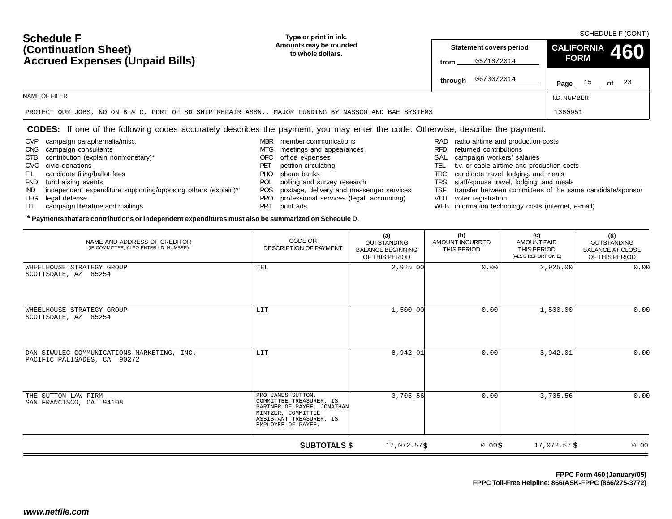#### **Statement covers period fromthrough** I.D. NUMBER **Amounts may be rounded to whole dollars.**05/18/2014 **Page** 15 **of** 23 **Schedule FAccrued Expenses (Unpaid Bills)** NAME OF FILER**CALIFORNIAFORM 460 (Continuation Sheet)**PROTECT OUR JOBS, NO ON B & C, PORT OF SD SHIP REPAIR ASSN., MAJOR FUNDING BY NASSCO AND BAE SYSTEMSs 1360951

### **CODES:** If one of the following codes accurately describes the payment, you may enter the code. Otherwise, describe the payment.

- CMP campaign paraphernalia/misc.
- CNS campaign consultants
- CTB contribution (explain nonmonetary)\*
- CVC civic donations
- FIL candidate filing/ballot fees
- FND fundraising events
- IND independent expenditure supporting/opposing others (explain)\*

**\* Payments that are contributions or independent expenditures must also be summarized on Schedule D.**

- LEG legal defense
- LIT campaign literature and mailings
- MBR member communications
- MTG meetings and appearances
- OFC office expenses
- PET petition circulating PHO phone banks
- POL polling and survey research
- POS postage, delivery and messenger services
- PRO professional services (legal, accounting)
- PRT print ads
- RAD radio airtime and production costs
- RFD returned contributions
- SAL campaign workers' salaries
- TEL t.v. or cable airtime and production costs
- TRC candidate travel, lodging, and meals
- TRS staff/spouse travel, lodging, and meals
- TSF transfer between committees of the same candidate/sponsor
- VOT voter registration
- WEB information technology costs (internet, e-mail)

| NAME AND ADDRESS OF CREDITOR<br>(IF COMMITTEE, ALSO ENTER I.D. NUMBER)    | CODE OR<br><b>DESCRIPTION OF PAYMENT</b>                                                                                                          | (a)<br><b>OUTSTANDING</b><br><b>BALANCE BEGINNING</b><br>OF THIS PERIOD | (b)<br>AMOUNT INCURRED<br>THIS PERIOD | (c)<br>AMOUNT PAID<br>THIS PERIOD<br>(ALSO REPORT ON E) | (d)<br><b>OUTSTANDING</b><br><b>BALANCE AT CLOSE</b><br>OF THIS PERIOD |
|---------------------------------------------------------------------------|---------------------------------------------------------------------------------------------------------------------------------------------------|-------------------------------------------------------------------------|---------------------------------------|---------------------------------------------------------|------------------------------------------------------------------------|
| WHEELHOUSE STRATEGY GROUP<br>SCOTTSDALE, AZ 85254                         | TEL                                                                                                                                               | 2,925.00                                                                | 0.00                                  | 2,925.00                                                | 0.00                                                                   |
| WHEELHOUSE STRATEGY GROUP<br>SCOTTSDALE, AZ 85254                         | LIT                                                                                                                                               | 1,500.00                                                                | 0.00                                  | 1,500.00                                                | 0.00                                                                   |
| DAN SIWULEC COMMUNICATIONS MARKETING, INC.<br>PACIFIC PALISADES, CA 90272 | LIT                                                                                                                                               | 8,942.01                                                                | 0.00                                  | 8,942.01                                                | 0.00                                                                   |
| THE SUTTON LAW FIRM<br>SAN FRANCISCO, CA 94108                            | PRO JAMES SUTTON,<br>COMMITTEE TREASURER, IS<br>PARTNER OF PAYEE, JONATHAN<br>MINTZER, COMMITTEE<br>ASSISTANT TREASURER, IS<br>EMPLOYEE OF PAYEE. | 3,705.56                                                                | 0.00                                  | 3,705.56                                                | 0.00                                                                   |

**SUBTOTALS \$ \$ \$** 0.00 17,072.57 0.00**\$** 17,072.57

# SCHEDULE F (CONT.) **Type or print in ink.**

**FPPC Form 460 (January/05)**

**FPPC Toll-Free Helpline: 866/ASK-FPPC (866/275-3772)**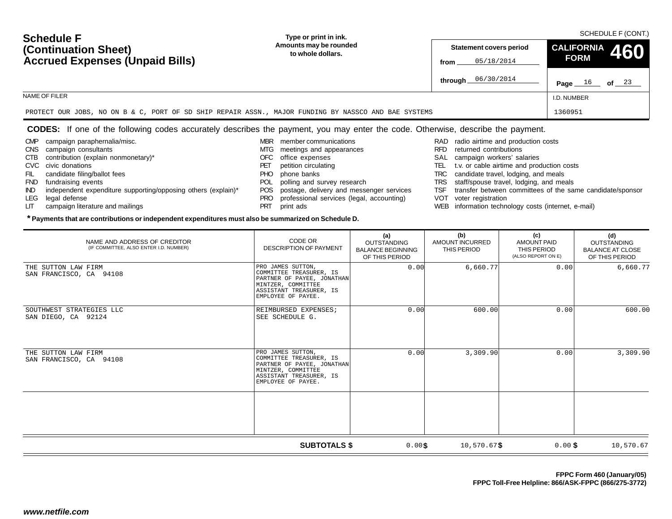| <b>Schedule F</b><br>(Continuation Sheet)<br><b>Accrued Expenses (Unpaid Bills)</b>                  | Type or print in ink.                       | SCHEDULE F (CONT.)                                   |                                                  |  |  |  |
|------------------------------------------------------------------------------------------------------|---------------------------------------------|------------------------------------------------------|--------------------------------------------------|--|--|--|
|                                                                                                      | Amounts may be rounded<br>to whole dollars. | <b>Statement covers period</b><br>05/18/2014<br>from | $\vert$ <sup>CALIFORNIA</sup> 460<br><b>FORM</b> |  |  |  |
|                                                                                                      |                                             | through 06/30/2014                                   | of $23$<br>Page $16$                             |  |  |  |
| NAME OF FILER                                                                                        | I.D. NUMBER                                 |                                                      |                                                  |  |  |  |
| PROTECT OUR JOBS, NO ON B & C, PORT OF SD SHIP REPAIR ASSN., MAJOR FUNDING BY NASSCO AND BAE SYSTEMS |                                             |                                                      | 1360951                                          |  |  |  |

#### **CODES:** If one of the following codes accurately describes the payment, you may enter the code. Otherwise, describe the payment.

- CMP campaign paraphernalia/misc.
- CNS campaign consultants
- CTB contribution (explain nonmonetary)\*
- CVC civic donations
- FIL candidate filing/ballot fees
- FND fundraising events
- IND independent expenditure supporting/opposing others (explain)\*

**\* Payments that are contributions or independent expenditures must also be summarized on Schedule D.**

- LEG legal defense
- LIT campaign literature and mailings
- MBR member communications
- MTG meetings and appearances
- OFC office expenses
- PET petition circulating
- PHO phone banks
- POL polling and survey research
- POS postage, delivery and messenger services
- PRO professional services (legal, accounting)
- PRT print ads
- RAD radio airtime and production costs
- RFD returned contributions
- SAL campaign workers' salaries
- TEL t.v. or cable airtime and production costs
- TRC candidate travel, lodging, and meals
- TRS staff/spouse travel, lodging, and meals
- TSF transfer between committees of the same candidate/sponsor
- VOT voter registration
- WEB information technology costs (internet, e-mail)

| NAME AND ADDRESS OF CREDITOR<br>(IF COMMITTEE, ALSO ENTER I.D. NUMBER) | CODE OR<br><b>DESCRIPTION OF PAYMENT</b>                                                                                                          | (a)<br><b>OUTSTANDING</b><br><b>BALANCE BEGINNING</b><br>OF THIS PERIOD | (b)<br><b>AMOUNT INCURRED</b><br>THIS PERIOD | (c)<br><b>AMOUNT PAID</b><br>THIS PERIOD<br>(ALSO REPORT ON E) | (d)<br><b>OUTSTANDING</b><br><b>BALANCE AT CLOSE</b><br>OF THIS PERIOD |
|------------------------------------------------------------------------|---------------------------------------------------------------------------------------------------------------------------------------------------|-------------------------------------------------------------------------|----------------------------------------------|----------------------------------------------------------------|------------------------------------------------------------------------|
| THE SUTTON LAW FIRM<br>SAN FRANCISCO, CA 94108                         | PRO JAMES SUTTON,<br>COMMITTEE TREASURER, IS<br>PARTNER OF PAYEE, JONATHAN<br>MINTZER, COMMITTEE<br>ASSISTANT TREASURER, IS<br>EMPLOYEE OF PAYEE. | 0.00                                                                    | 6,660.77                                     | 0.00                                                           | 6,660.77                                                               |
| SOUTHWEST STRATEGIES LLC<br>SAN DIEGO, CA 92124                        | REIMBURSED EXPENSES;<br>SEE SCHEDULE G.                                                                                                           | 0.00                                                                    | 600.00                                       | 0.00                                                           | 600.00                                                                 |
| THE SUTTON LAW FIRM<br>SAN FRANCISCO, CA 94108                         | PRO JAMES SUTTON,<br>COMMITTEE TREASURER, IS<br>PARTNER OF PAYEE, JONATHAN<br>MINTZER, COMMITTEE<br>ASSISTANT TREASURER, IS<br>EMPLOYEE OF PAYEE. | 0.00                                                                    | 3,309.90                                     | 0.00                                                           | 3,309.90                                                               |
|                                                                        |                                                                                                                                                   |                                                                         |                                              |                                                                |                                                                        |
|                                                                        | <b>SUBTOTALS \$</b>                                                                                                                               | 0.00\$                                                                  | $10,570.67$ \$                               | $0.00$ \$                                                      | 10,570.67                                                              |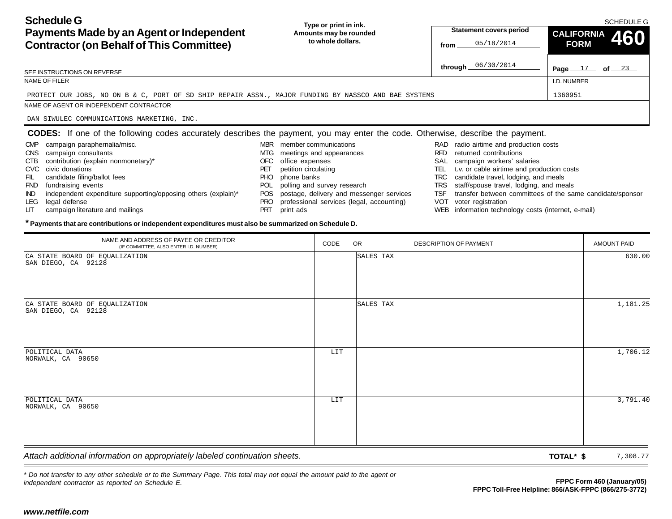| <b>Schedule G</b><br>Payments Made by an Agent or Independent<br><b>Contractor (on Behalf of This Committee)</b>                                                                                                                            | Type or print in ink.<br>Amounts may be rounded<br>to whole dollars.                                                                                                                                | <b>Statement covers period</b><br>05/18/2014<br>from                                                                                                                                                                                                                       | <b>SCHEDULE G</b><br><b>CALIFORNIA</b><br>460<br><b>FORM</b> |
|---------------------------------------------------------------------------------------------------------------------------------------------------------------------------------------------------------------------------------------------|-----------------------------------------------------------------------------------------------------------------------------------------------------------------------------------------------------|----------------------------------------------------------------------------------------------------------------------------------------------------------------------------------------------------------------------------------------------------------------------------|--------------------------------------------------------------|
| SEE INSTRUCTIONS ON REVERSE                                                                                                                                                                                                                 |                                                                                                                                                                                                     | through 06/30/2014                                                                                                                                                                                                                                                         | Page $17$ of $23$                                            |
| NAME OF FILER                                                                                                                                                                                                                               |                                                                                                                                                                                                     |                                                                                                                                                                                                                                                                            | I.D. NUMBER                                                  |
| PROTECT OUR JOBS, NO ON B & C, PORT OF SD SHIP REPAIR ASSN., MAJOR FUNDING BY NASSCO AND BAE SYSTEMS                                                                                                                                        |                                                                                                                                                                                                     |                                                                                                                                                                                                                                                                            | 1360951                                                      |
| NAME OF AGENT OR INDEPENDENT CONTRACTOR                                                                                                                                                                                                     |                                                                                                                                                                                                     |                                                                                                                                                                                                                                                                            |                                                              |
| DAN SIWULEC COMMUNICATIONS MARKETING, INC.                                                                                                                                                                                                  |                                                                                                                                                                                                     |                                                                                                                                                                                                                                                                            |                                                              |
| CODES: If one of the following codes accurately describes the payment, you may enter the code. Otherwise, describe the payment.                                                                                                             |                                                                                                                                                                                                     |                                                                                                                                                                                                                                                                            |                                                              |
| campaign paraphernalia/misc.<br><b>CMP</b><br><b>CNS</b><br>campaign consultants<br>contribution (explain nonmonetary)*<br><b>CTB</b><br>civic donations<br>CVC.<br>candidate filing/ballot fees<br>FIL<br><b>FND</b><br>fundraising events | member communications<br><b>MBR</b><br>meetings and appearances<br>MTG<br>office expenses<br>OFC<br>petition circulating<br>PET<br>phone banks<br>PHO.<br>polling and survey research<br><b>POL</b> | RAD radio airtime and production costs<br>returned contributions<br><b>RFD</b><br>campaign workers' salaries<br>SAL<br>t.v. or cable airtime and production costs<br>TEL<br>candidate travel, lodging, and meals<br>TRC<br>staff/spouse travel, lodging, and meals<br>TRS. |                                                              |

- IND independent expenditure supporting/opposing others (explain)\*
- LEG legal defense
- LIT campaign literature and mailings
- POS postage, delivery and messenger services
- PRO professional services (legal, accounting)
- PRT print ads
- 
- TSF transfer between committees of the same candidate/sponsor
- VOT voter registration
- WEB information technology costs (internet, e-mail)

#### **\* Payments that are contributions or independent expenditures must also be summarized on Schedule D.**

| <b>Contractor (on Behalf of This Committee)</b>                                                                                                                                                                                                                                                                                                                                                                                                                         | <u>lu whuie duilars.</u>                                                                                                                                                                                              |      |                                                                                           | 05/18/2014<br>from                                                                                                                                                           |                                                                                                                                                                                                                       | <b>FORM</b><br>TVV                                                                 |
|-------------------------------------------------------------------------------------------------------------------------------------------------------------------------------------------------------------------------------------------------------------------------------------------------------------------------------------------------------------------------------------------------------------------------------------------------------------------------|-----------------------------------------------------------------------------------------------------------------------------------------------------------------------------------------------------------------------|------|-------------------------------------------------------------------------------------------|------------------------------------------------------------------------------------------------------------------------------------------------------------------------------|-----------------------------------------------------------------------------------------------------------------------------------------------------------------------------------------------------------------------|------------------------------------------------------------------------------------|
| SEE INSTRUCTIONS ON REVERSE                                                                                                                                                                                                                                                                                                                                                                                                                                             |                                                                                                                                                                                                                       |      |                                                                                           | 06/30/2014<br>through $\equiv$                                                                                                                                               |                                                                                                                                                                                                                       | Page $17$ of $23$                                                                  |
| NAME OF FILER                                                                                                                                                                                                                                                                                                                                                                                                                                                           |                                                                                                                                                                                                                       |      |                                                                                           |                                                                                                                                                                              | I.D. NUMBER                                                                                                                                                                                                           |                                                                                    |
| PROTECT OUR JOBS, NO ON B & C, PORT OF SD SHIP REPAIR ASSN., MAJOR FUNDING BY NASSCO AND BAE SYSTEMS                                                                                                                                                                                                                                                                                                                                                                    |                                                                                                                                                                                                                       |      |                                                                                           |                                                                                                                                                                              | 1360951                                                                                                                                                                                                               |                                                                                    |
| NAME OF AGENT OR INDEPENDENT CONTRACTOR                                                                                                                                                                                                                                                                                                                                                                                                                                 |                                                                                                                                                                                                                       |      |                                                                                           |                                                                                                                                                                              |                                                                                                                                                                                                                       |                                                                                    |
| DAN SIWULEC COMMUNICATIONS MARKETING, INC.                                                                                                                                                                                                                                                                                                                                                                                                                              |                                                                                                                                                                                                                       |      |                                                                                           |                                                                                                                                                                              |                                                                                                                                                                                                                       |                                                                                    |
| <b>CODES:</b> If one of the following codes accurately describes the payment, you may enter the code. Otherwise, describe the payment.                                                                                                                                                                                                                                                                                                                                  |                                                                                                                                                                                                                       |      |                                                                                           |                                                                                                                                                                              |                                                                                                                                                                                                                       |                                                                                    |
| campaign paraphernalia/misc.<br><b>CMP</b><br>CNS campaign consultants<br>contribution (explain nonmonetary)*<br><b>CTB</b><br>CVC civic donations<br>FIL<br>candidate filing/ballot fees<br>FND fundraising events<br>independent expenditure supporting/opposing others (explain)*<br>IND.<br>legal defense<br>LEG.<br>campaign literature and mailings<br>LГ<br>* Payments that are contributions or independent expenditures must also be summarized on Schedule D. | MBR member communications<br>MTG meetings and appearances<br>office expenses<br>OFC.<br>petition circulating<br>PET<br>phone banks<br><b>PHO</b><br>POL polling and survey research<br>PRO<br><b>PRT</b><br>print ads |      | POS postage, delivery and messenger services<br>professional services (legal, accounting) | RAD radio airtime and production costs<br>RFD returned contributions<br>SAL campaign workers' salaries<br>TRC candidate travel, lodging, and meals<br>VOT voter registration | TEL t.v. or cable airtime and production costs<br>TRS staff/spouse travel, lodging, and meals<br>TSF transfer between committees of the same candidate/sponsor<br>WEB information technology costs (internet, e-mail) |                                                                                    |
| NAME AND ADDRESS OF PAYEE OR CREDITOR<br>(IF COMMITTEE, ALSO ENTER I.D. NUMBER)                                                                                                                                                                                                                                                                                                                                                                                         |                                                                                                                                                                                                                       | CODE | OR                                                                                        | <b>DESCRIPTION OF PAYMENT</b>                                                                                                                                                |                                                                                                                                                                                                                       | <b>AMOUNT PAID</b>                                                                 |
| CA STATE BOARD OF EQUALIZATION<br>SAN DIEGO, CA 92128                                                                                                                                                                                                                                                                                                                                                                                                                   |                                                                                                                                                                                                                       |      | SALES TAX                                                                                 |                                                                                                                                                                              |                                                                                                                                                                                                                       | 630.00                                                                             |
| CA STATE BOARD OF EQUALIZATION<br>SAN DIEGO, CA 92128                                                                                                                                                                                                                                                                                                                                                                                                                   |                                                                                                                                                                                                                       |      | SALES TAX                                                                                 |                                                                                                                                                                              |                                                                                                                                                                                                                       | 1,181.25                                                                           |
| POLITICAL DATA<br>NORWALK, CA 90650                                                                                                                                                                                                                                                                                                                                                                                                                                     |                                                                                                                                                                                                                       | LIT  |                                                                                           |                                                                                                                                                                              |                                                                                                                                                                                                                       | 1,706.12                                                                           |
| POLITICAL DATA<br>NORWALK, CA 90650                                                                                                                                                                                                                                                                                                                                                                                                                                     |                                                                                                                                                                                                                       | LIT  |                                                                                           |                                                                                                                                                                              |                                                                                                                                                                                                                       | 3,791.40                                                                           |
| Attach additional information on appropriately labeled continuation sheets.                                                                                                                                                                                                                                                                                                                                                                                             |                                                                                                                                                                                                                       |      |                                                                                           |                                                                                                                                                                              | TOTAL* \$                                                                                                                                                                                                             | 7,308.77                                                                           |
| * Do not transfer to any other schedule or to the Summary Page. This total may not equal the amount paid to the agent or<br>independent contractor as reported on Schedule E.                                                                                                                                                                                                                                                                                           |                                                                                                                                                                                                                       |      |                                                                                           |                                                                                                                                                                              |                                                                                                                                                                                                                       | FPPC Form 460 (January/05)<br>FPPC Toll-Free Helpline: 866/ASK-FPPC (866/275-3772) |
| www.netfile.com                                                                                                                                                                                                                                                                                                                                                                                                                                                         |                                                                                                                                                                                                                       |      |                                                                                           |                                                                                                                                                                              |                                                                                                                                                                                                                       |                                                                                    |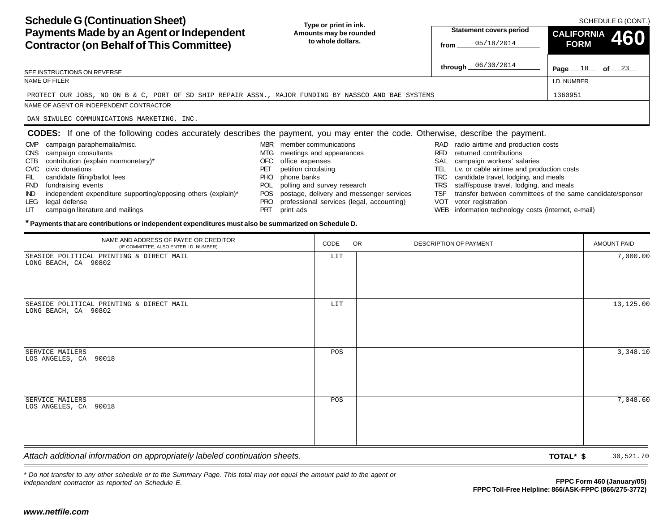**Schedule G (Continuation Sheet) Payments Made by an Agent or Independent Contractor (on Behalf of This Committee) Page**  $18$  of  $23$ **Type or print in ink. Amounts may be rounded to whole dollars.**SCHEDULE G (CONT.) I.D. NUMBERSEE INSTRUCTIONS ON REVERSENAME OF FILERNAME OF AGENT OR INDEPENDENT CONTRACTOR**Statement covers period fromthrough CALIFORNIA 460 FORMCODES:** If one of the following codes accurately describes the payment, you may enter the code. Otherwise, describe the payment. RAD radio airtime and production costs RFD returned contributionsSAL campaign workers' salaries TEL t.v. or cable airtime and production costs TRC candidate travel, lodging, and meals TRS staff/spouse travel, lodging, and meals TSF transfer between committees of the same candidate/sponsor MBR member communicationsMTG meetings and appearances OFC office expenses PET petition circulating PHO phone banks POL polling and survey research POS postage, delivery and messenger services CMP campaign paraphernalia/misc. CNS campaign consultants CTB contribution (explain nonmonetary)\* CVC civic donationsFIL candidate filing/ballot fees FND fundraising events IND independent expenditure supporting/opposing others (explain)\* PROTECT OUR JOBS, NO ON B & C, PORT OF SD SHIP REPAIR ASSN., MAJOR FUNDING BY NASSCO AND BAE SYSTEMSs 1360951 DAN SIWULEC COMMUNICATIONS MARKETING, INC.

| <b>Contractor (on Behalf of This Committee)</b>                                                                                                                                                                                                                                                                                                                                                                                                                                      |                                                                                                                                                                                                                                                     | <u>lu whuie duilars.</u> |           |                                                                                       |     | 05/18/2014<br>from                                   |                                                                                                                                                                     |                                                                                                   | <b>FORM</b><br>TVV                                                                 |  |  |
|--------------------------------------------------------------------------------------------------------------------------------------------------------------------------------------------------------------------------------------------------------------------------------------------------------------------------------------------------------------------------------------------------------------------------------------------------------------------------------------|-----------------------------------------------------------------------------------------------------------------------------------------------------------------------------------------------------------------------------------------------------|--------------------------|-----------|---------------------------------------------------------------------------------------|-----|------------------------------------------------------|---------------------------------------------------------------------------------------------------------------------------------------------------------------------|---------------------------------------------------------------------------------------------------|------------------------------------------------------------------------------------|--|--|
| SEE INSTRUCTIONS ON REVERSE                                                                                                                                                                                                                                                                                                                                                                                                                                                          |                                                                                                                                                                                                                                                     |                          |           |                                                                                       |     | through $\_$                                         | 06/30/2014                                                                                                                                                          |                                                                                                   | Page $18$ of $23$                                                                  |  |  |
| NAME OF FILER                                                                                                                                                                                                                                                                                                                                                                                                                                                                        |                                                                                                                                                                                                                                                     |                          |           |                                                                                       |     |                                                      |                                                                                                                                                                     | I.D. NUMBER                                                                                       |                                                                                    |  |  |
| PROTECT OUR JOBS, NO ON B & C, PORT OF SD SHIP REPAIR ASSN., MAJOR FUNDING BY NASSCO AND BAE SYSTEMS                                                                                                                                                                                                                                                                                                                                                                                 |                                                                                                                                                                                                                                                     |                          |           |                                                                                       |     |                                                      |                                                                                                                                                                     | 1360951                                                                                           |                                                                                    |  |  |
| NAME OF AGENT OR INDEPENDENT CONTRACTOR                                                                                                                                                                                                                                                                                                                                                                                                                                              |                                                                                                                                                                                                                                                     |                          |           |                                                                                       |     |                                                      |                                                                                                                                                                     |                                                                                                   |                                                                                    |  |  |
| DAN SIWULEC COMMUNICATIONS MARKETING, INC.                                                                                                                                                                                                                                                                                                                                                                                                                                           |                                                                                                                                                                                                                                                     |                          |           |                                                                                       |     |                                                      |                                                                                                                                                                     |                                                                                                   |                                                                                    |  |  |
| <b>CODES:</b> If one of the following codes accurately describes the payment, you may enter the code. Otherwise, describe the payment.                                                                                                                                                                                                                                                                                                                                               |                                                                                                                                                                                                                                                     |                          |           |                                                                                       |     |                                                      |                                                                                                                                                                     |                                                                                                   |                                                                                    |  |  |
| campaign paraphernalia/misc.<br><b>CMP</b><br>CNS campaign consultants<br>contribution (explain nonmonetary)*<br>CTB<br>civic donations<br><b>CVC</b><br>candidate filing/ballot fees<br>FIL<br>fundraising events<br><b>FND</b><br>independent expenditure supporting/opposing others (explain)*<br>IND.<br>legal defense<br>LEG.<br>campaign literature and mailings<br>ЦT<br>* Payments that are contributions or independent expenditures must also be summarized on Schedule D. | MBR member communications<br>MTG meetings and appearances<br>office expenses<br>OFC<br>petition circulating<br>PET<br>phone banks<br><b>PHO</b><br>polling and survey research<br><b>POL</b><br><b>POS</b><br><b>PRO</b><br>print ads<br><b>PRT</b> |                          |           | postage, delivery and messenger services<br>professional services (legal, accounting) | TEL | RFD returned contributions<br>VOT voter registration | RAD radio airtime and production costs<br>SAL campaign workers' salaries<br>TRC candidate travel, lodging, and meals<br>TRS staff/spouse travel, lodging, and meals | t.v. or cable airtime and production costs<br>WEB information technology costs (internet, e-mail) | TSF transfer between committees of the same candidate/sponsor                      |  |  |
| NAME AND ADDRESS OF PAYEE OR CREDITOR<br>(IF COMMITTEE, ALSO ENTER I.D. NUMBER)                                                                                                                                                                                                                                                                                                                                                                                                      |                                                                                                                                                                                                                                                     | CODE                     | <b>OR</b> |                                                                                       |     | <b>DESCRIPTION OF PAYMENT</b>                        |                                                                                                                                                                     |                                                                                                   | <b>AMOUNT PAID</b>                                                                 |  |  |
| SEASIDE POLITICAL PRINTING & DIRECT MAIL<br>LONG BEACH, CA 90802                                                                                                                                                                                                                                                                                                                                                                                                                     |                                                                                                                                                                                                                                                     | LIT                      |           |                                                                                       |     |                                                      |                                                                                                                                                                     |                                                                                                   | 7,000.00                                                                           |  |  |
| SEASIDE POLITICAL PRINTING & DIRECT MAIL<br>LONG BEACH, CA 90802                                                                                                                                                                                                                                                                                                                                                                                                                     |                                                                                                                                                                                                                                                     | LIT                      |           |                                                                                       |     |                                                      |                                                                                                                                                                     |                                                                                                   | 13, 125.00                                                                         |  |  |
| SERVICE MAILERS<br>LOS ANGELES, CA 90018                                                                                                                                                                                                                                                                                                                                                                                                                                             |                                                                                                                                                                                                                                                     | POS                      |           |                                                                                       |     |                                                      |                                                                                                                                                                     |                                                                                                   | 3,348.10                                                                           |  |  |
| SERVICE MAILERS<br>LOS ANGELES, CA 90018                                                                                                                                                                                                                                                                                                                                                                                                                                             |                                                                                                                                                                                                                                                     | POS                      |           |                                                                                       |     |                                                      |                                                                                                                                                                     |                                                                                                   | 7,048.60                                                                           |  |  |
| Attach additional information on appropriately labeled continuation sheets.                                                                                                                                                                                                                                                                                                                                                                                                          |                                                                                                                                                                                                                                                     |                          |           |                                                                                       |     |                                                      |                                                                                                                                                                     | TOTAL* \$                                                                                         | 30,521.70                                                                          |  |  |
| * Do not transfer to any other schedule or to the Summary Page. This total may not equal the amount paid to the agent or<br>independent contractor as reported on Schedule E.<br>www.netfile.com                                                                                                                                                                                                                                                                                     |                                                                                                                                                                                                                                                     |                          |           |                                                                                       |     |                                                      |                                                                                                                                                                     |                                                                                                   | FPPC Form 460 (January/05)<br>FPPC Toll-Free Helpline: 866/ASK-FPPC (866/275-3772) |  |  |
|                                                                                                                                                                                                                                                                                                                                                                                                                                                                                      |                                                                                                                                                                                                                                                     |                          |           |                                                                                       |     |                                                      |                                                                                                                                                                     |                                                                                                   |                                                                                    |  |  |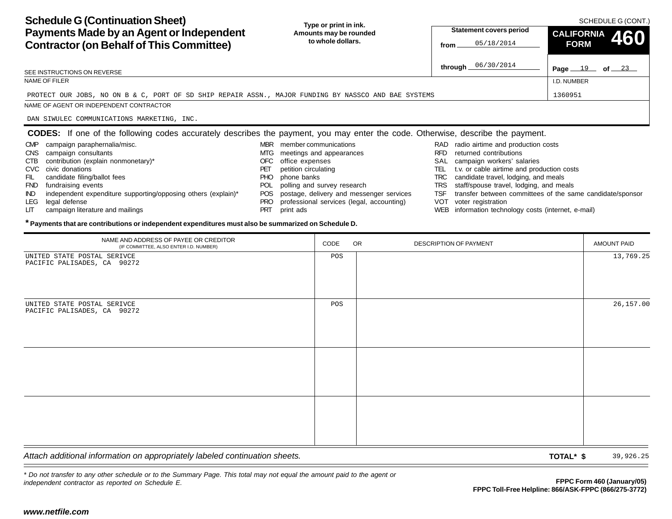**Schedule G (Continuation Sheet) Payments Made by an Agent or Independent Contractor (on Behalf of This Committee) Page**  $19$  of  $23$ **Type or print in ink. Amounts may be rounded to whole dollars.**SCHEDULE G (CONT.) I.D. NUMBERSEE INSTRUCTIONS ON REVERSENAME OF FILERNAME OF AGENT OR INDEPENDENT CONTRACTOR**Statement covers period fromthrough CALIFORNIA 460 FORMCODES:** If one of the following codes accurately describes the payment, you may enter the code. Otherwise, describe the payment. RAD radio airtime and production costs RFD returned contributionsSAL campaign workers' salaries TEL t.v. or cable airtime and production costs TRC candidate travel, lodging, and meals TRS staff/spouse travel, lodging, and meals TSF transfer between committees of the same candidate/sponsor MBR member communicationsMTG meetings and appearances OFC office expenses PET petition circulating PHO phone banks POL polling and survey research POS postage, delivery and messenger services CMP campaign paraphernalia/misc. CNS campaign consultants CTB contribution (explain nonmonetary)\* CVC civic donationsFIL candidate filing/ballot fees FND fundraising events IND independent expenditure supporting/opposing others (explain)\* LEG legal defense PROTECT OUR JOBS, NO ON B & C, PORT OF SD SHIP REPAIR ASSN., MAJOR FUNDING BY NASSCO AND BAE SYSTEMSs 1360951 DAN SIWULEC COMMUNICATIONS MARKETING, INC.

- VOT voter registration PRO professional services (legal, accounting)
	- WEB information technology costs (internet, e-mail)

| <b>Contractor (on Behalf of This Committee)</b>                                                                                                                                                                                                                                                                                                                                                                                                                                   | lo whole dollars.                                                                                                                                                                                       |                             |                                                                                       | 05/18/2014<br>from                                                                                                                                                                                                                                                                                                                                                                                    | <b>FORM</b> | TVV                        |
|-----------------------------------------------------------------------------------------------------------------------------------------------------------------------------------------------------------------------------------------------------------------------------------------------------------------------------------------------------------------------------------------------------------------------------------------------------------------------------------|---------------------------------------------------------------------------------------------------------------------------------------------------------------------------------------------------------|-----------------------------|---------------------------------------------------------------------------------------|-------------------------------------------------------------------------------------------------------------------------------------------------------------------------------------------------------------------------------------------------------------------------------------------------------------------------------------------------------------------------------------------------------|-------------|----------------------------|
| SEE INSTRUCTIONS ON REVERSE                                                                                                                                                                                                                                                                                                                                                                                                                                                       |                                                                                                                                                                                                         |                             |                                                                                       | through 06/30/2014                                                                                                                                                                                                                                                                                                                                                                                    |             | Page $19$ of $23$          |
| NAME OF FILER                                                                                                                                                                                                                                                                                                                                                                                                                                                                     |                                                                                                                                                                                                         |                             |                                                                                       |                                                                                                                                                                                                                                                                                                                                                                                                       | I.D. NUMBER |                            |
| PROTECT OUR JOBS, NO ON B & C, PORT OF SD SHIP REPAIR ASSN., MAJOR FUNDING BY NASSCO AND BAE SYSTEMS                                                                                                                                                                                                                                                                                                                                                                              |                                                                                                                                                                                                         |                             |                                                                                       |                                                                                                                                                                                                                                                                                                                                                                                                       | 1360951     |                            |
| NAME OF AGENT OR INDEPENDENT CONTRACTOR                                                                                                                                                                                                                                                                                                                                                                                                                                           |                                                                                                                                                                                                         |                             |                                                                                       |                                                                                                                                                                                                                                                                                                                                                                                                       |             |                            |
| DAN SIWULEC COMMUNICATIONS MARKETING, INC.                                                                                                                                                                                                                                                                                                                                                                                                                                        |                                                                                                                                                                                                         |                             |                                                                                       |                                                                                                                                                                                                                                                                                                                                                                                                       |             |                            |
| <b>CODES:</b> If one of the following codes accurately describes the payment, you may enter the code. Otherwise, describe the payment.                                                                                                                                                                                                                                                                                                                                            |                                                                                                                                                                                                         |                             |                                                                                       |                                                                                                                                                                                                                                                                                                                                                                                                       |             |                            |
| campaign paraphernalia/misc.<br>CMP<br>campaign consultants<br>CNS<br>contribution (explain nonmonetary)*<br>CTB<br>civic donations<br><b>CVC</b><br>FIL<br>candidate filing/ballot fees<br>fundraising events<br><b>FND</b><br>independent expenditure supporting/opposing others (explain)*<br>IND.<br>legal defense<br>LEG.<br>campaign literature and mailings<br>LIТ<br>* Payments that are contributions or independent expenditures must also be summarized on Schedule D. | MBR member communications<br>MTG meetings and appearances<br>office expenses<br>OFC<br>petition circulating<br>PET<br>phone banks<br>PHO.<br>POL<br><b>POS</b><br><b>PRO</b><br><b>PRT</b><br>print ads | polling and survey research | postage, delivery and messenger services<br>professional services (legal, accounting) | RAD radio airtime and production costs<br>RFD returned contributions<br>SAL campaign workers' salaries<br>TEL t.v. or cable airtime and production costs<br>TRC candidate travel, lodging, and meals<br>TRS staff/spouse travel, lodging, and meals<br>TSF transfer between committees of the same candidate/sponsor<br>VOT voter registration<br>WEB information technology costs (internet, e-mail) |             |                            |
|                                                                                                                                                                                                                                                                                                                                                                                                                                                                                   |                                                                                                                                                                                                         |                             |                                                                                       |                                                                                                                                                                                                                                                                                                                                                                                                       |             |                            |
| NAME AND ADDRESS OF PAYEE OR CREDITOR<br>(IF COMMITTEE, ALSO ENTER I.D. NUMBER)                                                                                                                                                                                                                                                                                                                                                                                                   |                                                                                                                                                                                                         | CODE                        | <b>OR</b>                                                                             | DESCRIPTION OF PAYMENT                                                                                                                                                                                                                                                                                                                                                                                |             | <b>AMOUNT PAID</b>         |
| PACIFIC PALISADES, CA 90272                                                                                                                                                                                                                                                                                                                                                                                                                                                       |                                                                                                                                                                                                         | POS                         |                                                                                       |                                                                                                                                                                                                                                                                                                                                                                                                       |             | 13,769.25                  |
| UNITED STATE POSTAL SERIVCE<br>PACIFIC PALISADES, CA 90272                                                                                                                                                                                                                                                                                                                                                                                                                        |                                                                                                                                                                                                         | POS                         |                                                                                       |                                                                                                                                                                                                                                                                                                                                                                                                       |             | 26, 157.00                 |
| Attach additional information on appropriately labeled continuation sheets.                                                                                                                                                                                                                                                                                                                                                                                                       |                                                                                                                                                                                                         |                             |                                                                                       |                                                                                                                                                                                                                                                                                                                                                                                                       | TOTAL* \$   | 39,926.25                  |
| * Do not transfer to any other schedule or to the Summary Page. This total may not equal the amount paid to the agent or<br>independent contractor as reported on Schedule E.<br>www.netfile.com                                                                                                                                                                                                                                                                                  |                                                                                                                                                                                                         |                             |                                                                                       | FPPC Toll-Free Helpline: 866/ASK-FPPC (866/275-3772)                                                                                                                                                                                                                                                                                                                                                  |             | FPPC Form 460 (January/05) |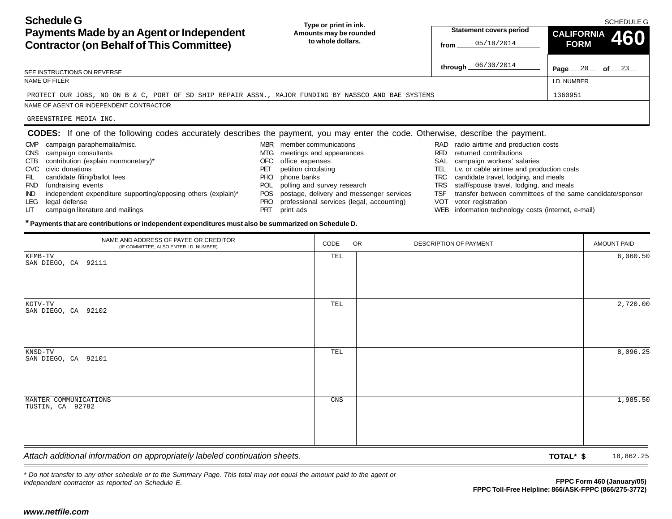| <b>Schedule G</b><br>Payments Made by an Agent or Independent<br><b>Contractor (on Behalf of This Committee)</b>                       | Type or print in ink.<br>Amounts may be rounded<br>to whole dollars. | <b>Statement covers period</b><br>05/18/2014<br>from | <b>SCHEDULE G</b><br><b>CALIFORNIA</b><br>460<br><b>FORM</b> |
|----------------------------------------------------------------------------------------------------------------------------------------|----------------------------------------------------------------------|------------------------------------------------------|--------------------------------------------------------------|
| SEE INSTRUCTIONS ON REVERSE                                                                                                            |                                                                      | 06/30/2014<br>through $\equiv$                       | Page $20$ of $23$                                            |
| NAME OF FILER                                                                                                                          |                                                                      |                                                      | I.D. NUMBER                                                  |
| PROTECT OUR JOBS, NO ON B & C, PORT OF SD SHIP REPAIR ASSN., MAJOR FUNDING BY NASSCO AND BAE SYSTEMS                                   |                                                                      |                                                      | 1360951                                                      |
| NAME OF AGENT OR INDEPENDENT CONTRACTOR                                                                                                |                                                                      |                                                      |                                                              |
| GREENSTRIPE MEDIA INC.                                                                                                                 |                                                                      |                                                      |                                                              |
| <b>CODES:</b> If one of the following codes accurately describes the payment, you may enter the code. Otherwise, describe the payment. |                                                                      |                                                      |                                                              |
| campaign paraphernalia/misc.<br><b>CMP</b>                                                                                             | member communications<br><b>MBR</b>                                  | radio airtime and production costs<br>RAD            |                                                              |
| campaign consultants<br>CNS                                                                                                            | meetings and appearances<br>MTG                                      | returned contributions<br><b>RFD</b>                 |                                                              |
| contribution (explain nonmonetary)*<br><b>CTB</b>                                                                                      | OFC<br>office expenses                                               | campaign workers' salaries<br>SAL                    |                                                              |
| CVC civic donations                                                                                                                    | petition circulating<br>PET                                          | t.v. or cable airtime and production costs<br>TEL    |                                                              |
| condidate filipe/bollet food                                                                                                           | $\mathsf{D} \mathsf{D} \mathsf{D}$ above books                       | TDC condidate travel ledging and meals               |                                                              |

- FIL candidate filing/ballot fees
- FND fundraising events
- IND independent expenditure supporting/opposing others (explain)\*
- LEG legal defense
- LIT campaign literature and mailings
- PHO phone banks
- POL polling and survey research
- POS postage, delivery and messenger services
- PRO professional services (legal, accounting)
- PRT print ads
- TRC candidate travel, lodging, and meals
- TRS staff/spouse travel, lodging, and meals
- TSF transfer between committees of the same candidate/sponsor
- VOT voter registration
- WEB information technology costs (internet, e-mail)

#### **\* Payments that are contributions or independent expenditures must also be summarized on Schedule D.**

| <b>Contractor (on Behalf of This Committee)</b>                                                                                                                                                                                                                                                                                                                                                                                                                                                                                                                                                                | <u>lu whuie duilars</u>                                                                                                                                                                                         |                             |                                                                                       | 05/18/2014<br>from                                                                                                                                                                                                                                                                                                                                                                                    | <b>FORM</b>                                          | TUU                        |
|----------------------------------------------------------------------------------------------------------------------------------------------------------------------------------------------------------------------------------------------------------------------------------------------------------------------------------------------------------------------------------------------------------------------------------------------------------------------------------------------------------------------------------------------------------------------------------------------------------------|-----------------------------------------------------------------------------------------------------------------------------------------------------------------------------------------------------------------|-----------------------------|---------------------------------------------------------------------------------------|-------------------------------------------------------------------------------------------------------------------------------------------------------------------------------------------------------------------------------------------------------------------------------------------------------------------------------------------------------------------------------------------------------|------------------------------------------------------|----------------------------|
| SEE INSTRUCTIONS ON REVERSE                                                                                                                                                                                                                                                                                                                                                                                                                                                                                                                                                                                    |                                                                                                                                                                                                                 |                             |                                                                                       | through $06/30/2014$                                                                                                                                                                                                                                                                                                                                                                                  |                                                      | Page $20$ of $23$          |
| NAME OF FILER                                                                                                                                                                                                                                                                                                                                                                                                                                                                                                                                                                                                  |                                                                                                                                                                                                                 |                             |                                                                                       |                                                                                                                                                                                                                                                                                                                                                                                                       | I.D. NUMBER                                          |                            |
| PROTECT OUR JOBS, NO ON B & C, PORT OF SD SHIP REPAIR ASSN., MAJOR FUNDING BY NASSCO AND BAE SYSTEMS                                                                                                                                                                                                                                                                                                                                                                                                                                                                                                           |                                                                                                                                                                                                                 |                             |                                                                                       |                                                                                                                                                                                                                                                                                                                                                                                                       | 1360951                                              |                            |
| NAME OF AGENT OR INDEPENDENT CONTRACTOR                                                                                                                                                                                                                                                                                                                                                                                                                                                                                                                                                                        |                                                                                                                                                                                                                 |                             |                                                                                       |                                                                                                                                                                                                                                                                                                                                                                                                       |                                                      |                            |
| GREENSTRIPE MEDIA INC.                                                                                                                                                                                                                                                                                                                                                                                                                                                                                                                                                                                         |                                                                                                                                                                                                                 |                             |                                                                                       |                                                                                                                                                                                                                                                                                                                                                                                                       |                                                      |                            |
| <b>CODES:</b> If one of the following codes accurately describes the payment, you may enter the code. Otherwise, describe the payment.<br>campaign paraphernalia/misc.<br>CMP<br>CNS campaign consultants<br>contribution (explain nonmonetary)*<br>CTB<br>civic donations<br>CVC<br>FIL<br>candidate filing/ballot fees<br>fundraising events<br><b>FND</b><br>independent expenditure supporting/opposing others (explain)*<br>IND<br>legal defense<br>LEG<br>campaign literature and mailings<br>LГ<br>* Payments that are contributions or independent expenditures must also be summarized on Schedule D. | MBR member communications<br>MTG meetings and appearances<br>office expenses<br>OFC.<br>petition circulating<br>PET<br>phone banks<br>PHO.<br><b>POL</b><br><b>POS</b><br><b>PRO</b><br><b>PRT</b><br>print ads | polling and survey research | postage, delivery and messenger services<br>professional services (legal, accounting) | RAD radio airtime and production costs<br>RFD returned contributions<br>SAL campaign workers' salaries<br>TEL t.v. or cable airtime and production costs<br>TRC candidate travel, lodging, and meals<br>TRS staff/spouse travel, lodging, and meals<br>TSF transfer between committees of the same candidate/sponsor<br>VOT voter registration<br>WEB information technology costs (internet, e-mail) |                                                      |                            |
| NAME AND ADDRESS OF PAYEE OR CREDITOR<br>(IF COMMITTEE, ALSO ENTER I.D. NUMBER)                                                                                                                                                                                                                                                                                                                                                                                                                                                                                                                                |                                                                                                                                                                                                                 | CODE                        | <b>OR</b>                                                                             | DESCRIPTION OF PAYMENT                                                                                                                                                                                                                                                                                                                                                                                |                                                      | <b>AMOUNT PAID</b>         |
| KFMB-TV<br>SAN DIEGO, CA 92111                                                                                                                                                                                                                                                                                                                                                                                                                                                                                                                                                                                 |                                                                                                                                                                                                                 | TEL                         |                                                                                       |                                                                                                                                                                                                                                                                                                                                                                                                       |                                                      | 6,060.50                   |
| KGTV-TV<br>SAN DIEGO, CA 92102                                                                                                                                                                                                                                                                                                                                                                                                                                                                                                                                                                                 |                                                                                                                                                                                                                 | TEL                         |                                                                                       |                                                                                                                                                                                                                                                                                                                                                                                                       |                                                      | 2,720.00                   |
| KNSD-TV<br>SAN DIEGO, CA 92101                                                                                                                                                                                                                                                                                                                                                                                                                                                                                                                                                                                 |                                                                                                                                                                                                                 | TEL                         |                                                                                       |                                                                                                                                                                                                                                                                                                                                                                                                       |                                                      | 8,096.25                   |
| MANTER COMMUNICATIONS<br>TUSTIN, CA 92782                                                                                                                                                                                                                                                                                                                                                                                                                                                                                                                                                                      |                                                                                                                                                                                                                 | CNS                         |                                                                                       |                                                                                                                                                                                                                                                                                                                                                                                                       |                                                      | 1,985.50                   |
| Attach additional information on appropriately labeled continuation sheets.                                                                                                                                                                                                                                                                                                                                                                                                                                                                                                                                    |                                                                                                                                                                                                                 |                             |                                                                                       |                                                                                                                                                                                                                                                                                                                                                                                                       | TOTAL* \$                                            | 18,862.25                  |
| * Do not transfer to any other schedule or to the Summary Page. This total may not equal the amount paid to the agent or<br>independent contractor as reported on Schedule E.<br>www.netfile.com                                                                                                                                                                                                                                                                                                                                                                                                               |                                                                                                                                                                                                                 |                             |                                                                                       |                                                                                                                                                                                                                                                                                                                                                                                                       | FPPC Toll-Free Helpline: 866/ASK-FPPC (866/275-3772) | FPPC Form 460 (January/05) |
|                                                                                                                                                                                                                                                                                                                                                                                                                                                                                                                                                                                                                |                                                                                                                                                                                                                 |                             |                                                                                       |                                                                                                                                                                                                                                                                                                                                                                                                       |                                                      |                            |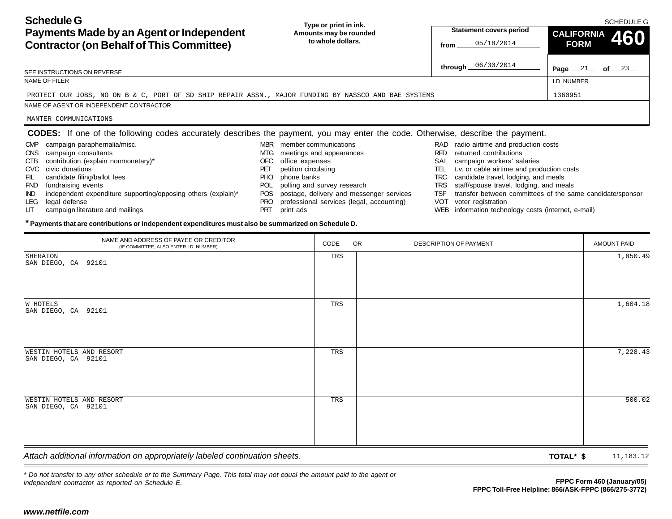| <b>Schedule G</b><br>Payments Made by an Agent or Independent<br><b>Contractor (on Behalf of This Committee)</b>                       | Type or print in ink.<br>Amounts may be rounded<br>to whole dollars. | <b>Statement covers period</b><br>05/18/2014<br>from                                             | <b>SCHEDULE G</b><br><b>CALIFORNIA</b><br>460<br><b>FORM</b> |
|----------------------------------------------------------------------------------------------------------------------------------------|----------------------------------------------------------------------|--------------------------------------------------------------------------------------------------|--------------------------------------------------------------|
| SEE INSTRUCTIONS ON REVERSE                                                                                                            |                                                                      | 06/30/2014<br>through _                                                                          | Page $21$ of $23$                                            |
| NAME OF FILER                                                                                                                          |                                                                      |                                                                                                  | I.D. NUMBER                                                  |
| PROTECT OUR JOBS, NO ON B & C, PORT OF SD SHIP REPAIR ASSN., MAJOR FUNDING BY NASSCO AND BAE SYSTEMS                                   |                                                                      |                                                                                                  | 1360951                                                      |
| NAME OF AGENT OR INDEPENDENT CONTRACTOR                                                                                                |                                                                      |                                                                                                  |                                                              |
| MANTER COMMUNICATIONS                                                                                                                  |                                                                      |                                                                                                  |                                                              |
| <b>CODES:</b> If one of the following codes accurately describes the payment, you may enter the code. Otherwise, describe the payment. |                                                                      |                                                                                                  |                                                              |
| campaign paraphernalia/misc.<br><b>CMP</b>                                                                                             | member communications<br><b>MBR</b>                                  | radio airtime and production costs<br>RAD                                                        |                                                              |
| campaign consultants<br>CNS                                                                                                            | meetings and appearances<br>MTG                                      | returned contributions<br><b>RFD</b>                                                             |                                                              |
| contribution (explain nonmonetary)*<br>CTB                                                                                             | office expenses<br>OFC                                               | campaign workers' salaries<br>SAL                                                                |                                                              |
| CVC civic donations                                                                                                                    | petition circulating<br>PET                                          | t.v. or cable airtime and production costs<br>TEL                                                |                                                              |
| and the state of the state of the state of the state of the state of the state of the state of the state of the                        | $\mathbf{D} \mathbf{D}$                                              | and a set of the transfer and the back of the set of the set of the set of the<br>$\pi$ n $\cap$ |                                                              |

- FIL candidate filing/ballot fees
- FND fundraising events
- IND independent expenditure supporting/opposing others (explain)\*
- LEG legal defense
- LIT campaign literature and mailings
- PHO phone banks
- POL polling and survey research
- POS postage, delivery and messenger services
- PRO professional services (legal, accounting)
- PRT print ads
- TRC candidate travel, lodging, and meals
- TRS staff/spouse travel, lodging, and meals
- TSF transfer between committees of the same candidate/sponsor
- VOT voter registration
- WEB information technology costs (internet, e-mail)

#### **\* Payments that are contributions or independent expenditures must also be summarized on Schedule D.**

| <b>Contractor (on Behalf of This Committee)</b>                                                                                                                                                                                                                                                                                                                                                                                                       | lo whole dollars.                                                                                                                                                                                        |                             | from                                                                                  |                        | 05/18/2014                                                                                                                                                                                                                                                                                                                                                                                            | <b>FORM</b> | TUU                                                                                |
|-------------------------------------------------------------------------------------------------------------------------------------------------------------------------------------------------------------------------------------------------------------------------------------------------------------------------------------------------------------------------------------------------------------------------------------------------------|----------------------------------------------------------------------------------------------------------------------------------------------------------------------------------------------------------|-----------------------------|---------------------------------------------------------------------------------------|------------------------|-------------------------------------------------------------------------------------------------------------------------------------------------------------------------------------------------------------------------------------------------------------------------------------------------------------------------------------------------------------------------------------------------------|-------------|------------------------------------------------------------------------------------|
| SEE INSTRUCTIONS ON REVERSE                                                                                                                                                                                                                                                                                                                                                                                                                           |                                                                                                                                                                                                          |                             |                                                                                       |                        | through 06/30/2014                                                                                                                                                                                                                                                                                                                                                                                    |             | Page $21$ of $23$                                                                  |
| NAME OF FILER                                                                                                                                                                                                                                                                                                                                                                                                                                         |                                                                                                                                                                                                          |                             |                                                                                       |                        |                                                                                                                                                                                                                                                                                                                                                                                                       | I.D. NUMBER |                                                                                    |
| PROTECT OUR JOBS, NO ON B & C, PORT OF SD SHIP REPAIR ASSN., MAJOR FUNDING BY NASSCO AND BAE SYSTEMS                                                                                                                                                                                                                                                                                                                                                  |                                                                                                                                                                                                          |                             |                                                                                       |                        |                                                                                                                                                                                                                                                                                                                                                                                                       | 1360951     |                                                                                    |
| NAME OF AGENT OR INDEPENDENT CONTRACTOR                                                                                                                                                                                                                                                                                                                                                                                                               |                                                                                                                                                                                                          |                             |                                                                                       |                        |                                                                                                                                                                                                                                                                                                                                                                                                       |             |                                                                                    |
| MANTER COMMUNICATIONS                                                                                                                                                                                                                                                                                                                                                                                                                                 |                                                                                                                                                                                                          |                             |                                                                                       |                        |                                                                                                                                                                                                                                                                                                                                                                                                       |             |                                                                                    |
| <b>CODES:</b> If one of the following codes accurately describes the payment, you may enter the code. Otherwise, describe the payment.                                                                                                                                                                                                                                                                                                                |                                                                                                                                                                                                          |                             |                                                                                       |                        |                                                                                                                                                                                                                                                                                                                                                                                                       |             |                                                                                    |
| CMP campaign paraphernalia/misc.<br>CNS campaign consultants<br>contribution (explain nonmonetary)*<br>CTB<br>CVC civic donations<br>FIL<br>candidate filing/ballot fees<br>FND fundraising events<br>independent expenditure supporting/opposing others (explain)*<br>IND.<br>legal defense<br>LEG<br>campaign literature and mailings<br>LГ<br>* Payments that are contributions or independent expenditures must also be summarized on Schedule D. | MBR member communications<br>MTG meetings and appearances<br>office expenses<br>OFC.<br>petition circulating<br>PET<br>phone banks<br>PHO.<br><b>POL</b><br><b>POS</b><br>PRO<br><b>PRT</b><br>print ads | polling and survey research | postage, delivery and messenger services<br>professional services (legal, accounting) |                        | RAD radio airtime and production costs<br>RFD returned contributions<br>SAL campaign workers' salaries<br>TEL t.v. or cable airtime and production costs<br>TRC candidate travel, lodging, and meals<br>TRS staff/spouse travel, lodging, and meals<br>TSF transfer between committees of the same candidate/sponsor<br>VOT voter registration<br>WEB information technology costs (internet, e-mail) |             |                                                                                    |
| NAME AND ADDRESS OF PAYEE OR CREDITOR<br>(IF COMMITTEE, ALSO ENTER I.D. NUMBER)                                                                                                                                                                                                                                                                                                                                                                       |                                                                                                                                                                                                          | CODE                        | <b>OR</b>                                                                             | DESCRIPTION OF PAYMENT |                                                                                                                                                                                                                                                                                                                                                                                                       |             | <b>AMOUNT PAID</b>                                                                 |
| <b>SHERATON</b><br>SAN DIEGO, CA 92101                                                                                                                                                                                                                                                                                                                                                                                                                |                                                                                                                                                                                                          | TRS                         |                                                                                       |                        |                                                                                                                                                                                                                                                                                                                                                                                                       |             | 1,850.49                                                                           |
| W HOTELS<br>SAN DIEGO, CA 92101                                                                                                                                                                                                                                                                                                                                                                                                                       |                                                                                                                                                                                                          | TRS                         |                                                                                       |                        |                                                                                                                                                                                                                                                                                                                                                                                                       |             | 1,604.18                                                                           |
| WESTIN HOTELS AND RESORT<br>SAN DIEGO, CA 92101                                                                                                                                                                                                                                                                                                                                                                                                       |                                                                                                                                                                                                          | TRS                         |                                                                                       |                        |                                                                                                                                                                                                                                                                                                                                                                                                       |             | 7,228.43                                                                           |
| WESTIN HOTELS AND RESORT<br>SAN DIEGO, CA 92101                                                                                                                                                                                                                                                                                                                                                                                                       |                                                                                                                                                                                                          | TRS                         |                                                                                       |                        |                                                                                                                                                                                                                                                                                                                                                                                                       |             | 500.02                                                                             |
| Attach additional information on appropriately labeled continuation sheets.                                                                                                                                                                                                                                                                                                                                                                           |                                                                                                                                                                                                          |                             |                                                                                       |                        |                                                                                                                                                                                                                                                                                                                                                                                                       | TOTAL* \$   | 11,183.12                                                                          |
| * Do not transfer to any other schedule or to the Summary Page. This total may not equal the amount paid to the agent or<br>independent contractor as reported on Schedule E.<br>www.netfile.com                                                                                                                                                                                                                                                      |                                                                                                                                                                                                          |                             |                                                                                       |                        |                                                                                                                                                                                                                                                                                                                                                                                                       |             | FPPC Form 460 (January/05)<br>FPPC Toll-Free Helpline: 866/ASK-FPPC (866/275-3772) |
|                                                                                                                                                                                                                                                                                                                                                                                                                                                       |                                                                                                                                                                                                          |                             |                                                                                       |                        |                                                                                                                                                                                                                                                                                                                                                                                                       |             |                                                                                    |